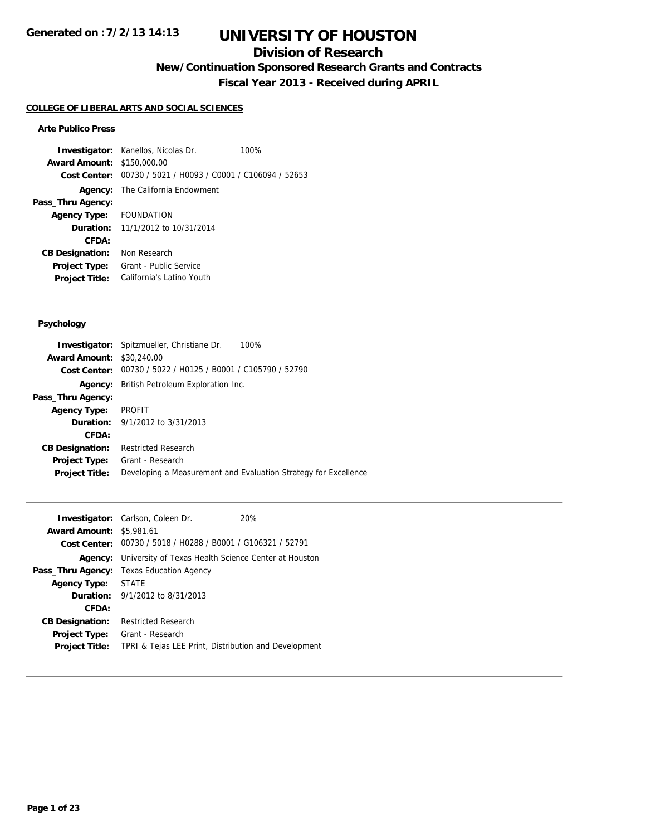## **Division of Research**

**New/Continuation Sponsored Research Grants and Contracts**

**Fiscal Year 2013 - Received during APRIL**

#### **COLLEGE OF LIBERAL ARTS AND SOCIAL SCIENCES**

#### **Arte Publico Press**

**Investigator:** Kanellos, Nicolas Dr. 100% **Award Amount:** \$150,000.00 **Cost Center:** 00730 / 5021 / H0093 / C0001 / C106094 / 52653 **Agency:** The California Endowment **Pass\_Thru Agency: Agency Type:** FOUNDATION **Duration:** 11/1/2012 to 10/31/2014 **CFDA: CB Designation:** Non Research **Project Type:** Grant - Public Service **Project Title:** California's Latino Youth

#### **Psychology**

|                                  | <b>Investigator:</b> Spitzmueller, Christiane Dr.<br>100%       |  |
|----------------------------------|-----------------------------------------------------------------|--|
| <b>Award Amount: \$30,240.00</b> |                                                                 |  |
|                                  | Cost Center: 00730 / 5022 / H0125 / B0001 / C105790 / 52790     |  |
|                                  | <b>Agency:</b> British Petroleum Exploration Inc.               |  |
| Pass_Thru Agency:                |                                                                 |  |
| <b>Agency Type:</b>              | PROFIT                                                          |  |
|                                  | <b>Duration:</b> 9/1/2012 to 3/31/2013                          |  |
| CFDA:                            |                                                                 |  |
| <b>CB Designation:</b>           | <b>Restricted Research</b>                                      |  |
| <b>Project Type:</b>             | Grant - Research                                                |  |
| <b>Project Title:</b>            | Developing a Measurement and Evaluation Strategy for Excellence |  |
|                                  |                                                                 |  |

|                                 | <b>Investigator:</b> Carlson, Coleen Dr.                    | 20% |  |
|---------------------------------|-------------------------------------------------------------|-----|--|
| <b>Award Amount: \$5,981.61</b> |                                                             |     |  |
|                                 | Cost Center: 00730 / 5018 / H0288 / B0001 / G106321 / 52791 |     |  |
| Agency:                         | University of Texas Health Science Center at Houston        |     |  |
|                                 | <b>Pass_Thru Agency:</b> Texas Education Agency             |     |  |
| <b>Agency Type:</b>             | STATE                                                       |     |  |
|                                 | <b>Duration:</b> 9/1/2012 to 8/31/2013                      |     |  |
| CFDA:                           |                                                             |     |  |
| <b>CB Designation:</b>          | <b>Restricted Research</b>                                  |     |  |
| Project Type:                   | Grant - Research                                            |     |  |
| <b>Project Title:</b>           | TPRI & Tejas LEE Print, Distribution and Development        |     |  |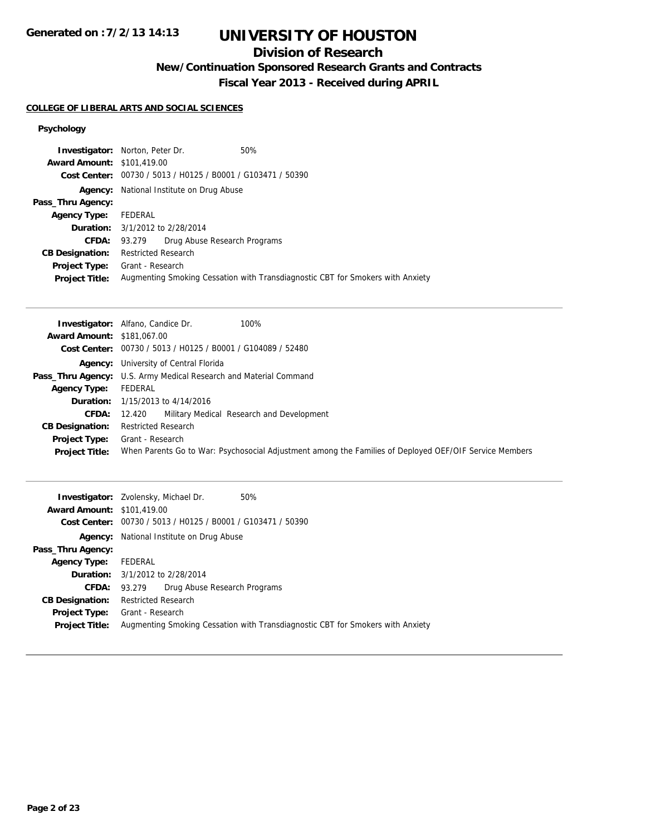# **UNIVERSITY OF HOUSTON**

## **Division of Research**

**New/Continuation Sponsored Research Grants and Contracts**

**Fiscal Year 2013 - Received during APRIL**

#### **COLLEGE OF LIBERAL ARTS AND SOCIAL SCIENCES**

### **Psychology**

|                                   | <b>Investigator:</b> Norton, Peter Dr.                      | 50%                                                                            |
|-----------------------------------|-------------------------------------------------------------|--------------------------------------------------------------------------------|
| <b>Award Amount: \$101,419.00</b> |                                                             |                                                                                |
|                                   | Cost Center: 00730 / 5013 / H0125 / B0001 / G103471 / 50390 |                                                                                |
| Agency:                           | National Institute on Drug Abuse                            |                                                                                |
| Pass_Thru Agency:                 |                                                             |                                                                                |
| <b>Agency Type:</b>               | FEDERAL                                                     |                                                                                |
|                                   | <b>Duration:</b> 3/1/2012 to 2/28/2014                      |                                                                                |
| CFDA:                             | Drug Abuse Research Programs<br>93.279                      |                                                                                |
| <b>CB Designation:</b>            | <b>Restricted Research</b>                                  |                                                                                |
| Project Type:                     | Grant - Research                                            |                                                                                |
| <b>Project Title:</b>             |                                                             | Augmenting Smoking Cessation with Transdiagnostic CBT for Smokers with Anxiety |

|                                   | 100%<br><b>Investigator:</b> Alfano, Candice Dr.                                                       |
|-----------------------------------|--------------------------------------------------------------------------------------------------------|
| <b>Award Amount: \$181,067,00</b> |                                                                                                        |
|                                   | Cost Center: 00730 / 5013 / H0125 / B0001 / G104089 / 52480                                            |
|                                   | <b>Agency:</b> University of Central Florida                                                           |
|                                   | Pass_Thru Agency: U.S. Army Medical Research and Material Command                                      |
| <b>Agency Type:</b>               | FEDERAL                                                                                                |
|                                   | <b>Duration:</b> 1/15/2013 to 4/14/2016                                                                |
| <b>CFDA:</b>                      | Military Medical Research and Development<br>12.420                                                    |
| <b>CB Designation:</b>            | <b>Restricted Research</b>                                                                             |
| Project Type:                     | Grant - Research                                                                                       |
| <b>Project Title:</b>             | When Parents Go to War: Psychosocial Adjustment among the Families of Deployed OEF/OIF Service Members |

|                                   | <b>Investigator:</b> Zvolensky, Michael Dr.<br>50%                             |
|-----------------------------------|--------------------------------------------------------------------------------|
| <b>Award Amount: \$101,419.00</b> |                                                                                |
| Cost Center:                      | 00730 / 5013 / H0125 / B0001 / G103471 / 50390                                 |
| Agency:                           | National Institute on Drug Abuse                                               |
| Pass_Thru Agency:                 |                                                                                |
| <b>Agency Type:</b>               | FEDERAL                                                                        |
|                                   | <b>Duration:</b> 3/1/2012 to 2/28/2014                                         |
| <b>CFDA:</b>                      | Drug Abuse Research Programs<br>93.279                                         |
| <b>CB Designation:</b>            | <b>Restricted Research</b>                                                     |
| <b>Project Type:</b>              | Grant - Research                                                               |
| <b>Project Title:</b>             | Augmenting Smoking Cessation with Transdiagnostic CBT for Smokers with Anxiety |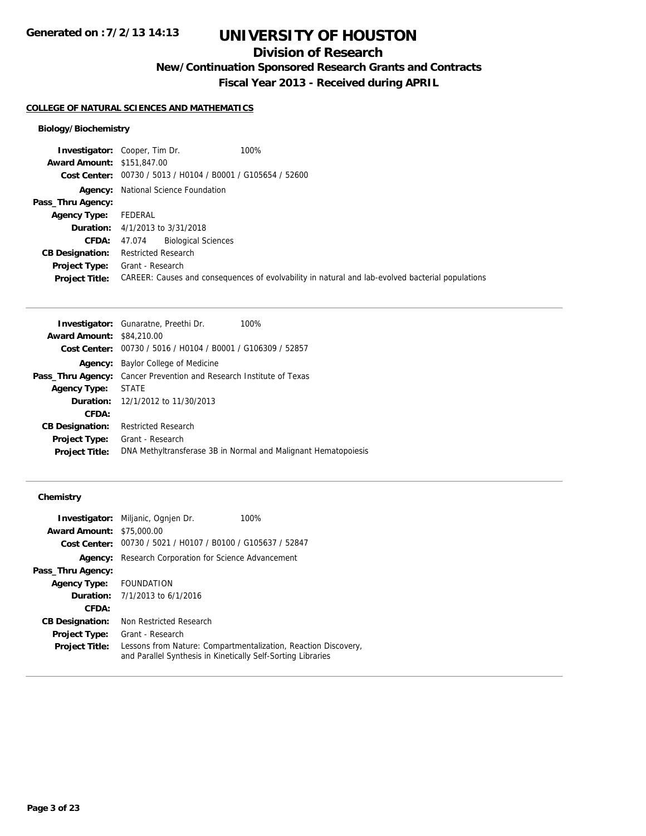## **Division of Research**

**New/Continuation Sponsored Research Grants and Contracts**

**Fiscal Year 2013 - Received during APRIL**

#### **COLLEGE OF NATURAL SCIENCES AND MATHEMATICS**

### **Biology/Biochemistry**

| 100%<br><b>Investigator:</b> Cooper, Tim Dr. |                                                                                                  |
|----------------------------------------------|--------------------------------------------------------------------------------------------------|
| <b>Award Amount: \$151,847,00</b>            |                                                                                                  |
|                                              |                                                                                                  |
| National Science Foundation<br>Agency:       |                                                                                                  |
|                                              |                                                                                                  |
| FEDERAL                                      |                                                                                                  |
| <b>Duration:</b> 4/1/2013 to 3/31/2018       |                                                                                                  |
| <b>Biological Sciences</b><br>47.074         |                                                                                                  |
| <b>Restricted Research</b>                   |                                                                                                  |
| Grant - Research                             |                                                                                                  |
|                                              | CAREER: Causes and consequences of evolvability in natural and lab-evolved bacterial populations |
|                                              | Cost Center: 00730 / 5013 / H0104 / B0001 / G105654 / 52600                                      |

| <b>Investigator:</b> Gunaratne, Preethi Dr.                                | 100%                                                           |  |
|----------------------------------------------------------------------------|----------------------------------------------------------------|--|
| <b>Award Amount: \$84,210.00</b>                                           |                                                                |  |
| Cost Center: 00730 / 5016 / H0104 / B0001 / G106309 / 52857                |                                                                |  |
| <b>Agency:</b> Baylor College of Medicine                                  |                                                                |  |
| <b>Pass_Thru Agency:</b> Cancer Prevention and Research Institute of Texas |                                                                |  |
| <b>STATE</b>                                                               |                                                                |  |
| <b>Duration:</b> 12/1/2012 to 11/30/2013                                   |                                                                |  |
|                                                                            |                                                                |  |
| <b>Restricted Research</b>                                                 |                                                                |  |
| Grant - Research                                                           |                                                                |  |
|                                                                            | DNA Methyltransferase 3B in Normal and Malignant Hematopoiesis |  |
|                                                                            |                                                                |  |

### **Chemistry**

|                                  | <b>Investigator:</b> Miljanic, Ognjen Dr.                    | 100%                                                           |
|----------------------------------|--------------------------------------------------------------|----------------------------------------------------------------|
| <b>Award Amount: \$75,000.00</b> |                                                              |                                                                |
|                                  | Cost Center: 00730 / 5021 / H0107 / B0100 / G105637 / 52847  |                                                                |
| Agency:                          | Research Corporation for Science Advancement                 |                                                                |
| Pass_Thru Agency:                |                                                              |                                                                |
| <b>Agency Type:</b>              | FOUNDATION                                                   |                                                                |
|                                  | <b>Duration:</b> $7/1/2013$ to $6/1/2016$                    |                                                                |
| CFDA:                            |                                                              |                                                                |
| <b>CB Designation:</b>           | Non Restricted Research                                      |                                                                |
| <b>Project Type:</b>             | Grant - Research                                             |                                                                |
| <b>Project Title:</b>            | and Parallel Synthesis in Kinetically Self-Sorting Libraries | Lessons from Nature: Compartmentalization, Reaction Discovery, |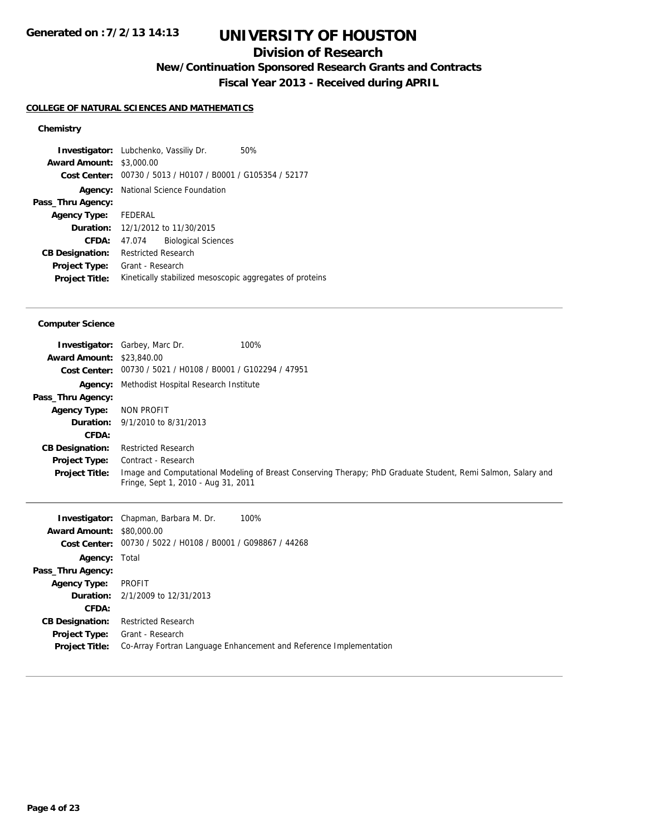## **Division of Research**

**New/Continuation Sponsored Research Grants and Contracts**

**Fiscal Year 2013 - Received during APRIL**

### **COLLEGE OF NATURAL SCIENCES AND MATHEMATICS**

### **Chemistry**

|                             | <b>Investigator:</b> Lubchenko, Vassiliy Dr.<br>50%         |  |
|-----------------------------|-------------------------------------------------------------|--|
| <b>Award Amount:</b>        | \$3,000.00                                                  |  |
|                             | Cost Center: 00730 / 5013 / H0107 / B0001 / G105354 / 52177 |  |
| Agency:                     | National Science Foundation                                 |  |
| Pass_Thru Agency:           |                                                             |  |
| <b>Agency Type:</b> FEDERAL |                                                             |  |
|                             | Duration: 12/1/2012 to 11/30/2015                           |  |
| CFDA:                       | <b>Biological Sciences</b><br>47.074                        |  |
| <b>CB Designation:</b>      | <b>Restricted Research</b>                                  |  |
| <b>Project Type:</b>        | Grant - Research                                            |  |
| <b>Project Title:</b>       | Kinetically stabilized mesoscopic aggregates of proteins    |  |
|                             |                                                             |  |

#### **Computer Science**

| <b>Award Amount: \$23,840.00</b> | 100%<br><b>Investigator:</b> Garbey, Marc Dr.               |                                                                                                              |
|----------------------------------|-------------------------------------------------------------|--------------------------------------------------------------------------------------------------------------|
|                                  | Cost Center: 00730 / 5021 / H0108 / B0001 / G102294 / 47951 |                                                                                                              |
|                                  | <b>Agency:</b> Methodist Hospital Research Institute        |                                                                                                              |
| Pass_Thru Agency:                |                                                             |                                                                                                              |
| <b>Agency Type:</b>              | NON PROFIT                                                  |                                                                                                              |
|                                  | <b>Duration:</b> $9/1/2010$ to $8/31/2013$                  |                                                                                                              |
| CFDA:                            |                                                             |                                                                                                              |
| <b>CB Designation:</b>           | <b>Restricted Research</b>                                  |                                                                                                              |
| <b>Project Type:</b>             | Contract - Research                                         |                                                                                                              |
| <b>Project Title:</b>            | Fringe, Sept 1, 2010 - Aug 31, 2011                         | Image and Computational Modeling of Breast Conserving Therapy; PhD Graduate Student, Remi Salmon, Salary and |

| <b>Award Amount: \$80,000.00</b> | <b>Investigator:</b> Chapman, Barbara M. Dr.<br>100%               |
|----------------------------------|--------------------------------------------------------------------|
|                                  |                                                                    |
|                                  | Cost Center: 00730 / 5022 / H0108 / B0001 / G098867 / 44268        |
| <b>Agency: Total</b>             |                                                                    |
| Pass_Thru Agency:                |                                                                    |
| <b>Agency Type:</b>              | PROFIT                                                             |
|                                  | <b>Duration:</b> 2/1/2009 to 12/31/2013                            |
| CFDA:                            |                                                                    |
| <b>CB Designation:</b>           | <b>Restricted Research</b>                                         |
| <b>Project Type:</b>             | Grant - Research                                                   |
| <b>Project Title:</b>            | Co-Array Fortran Language Enhancement and Reference Implementation |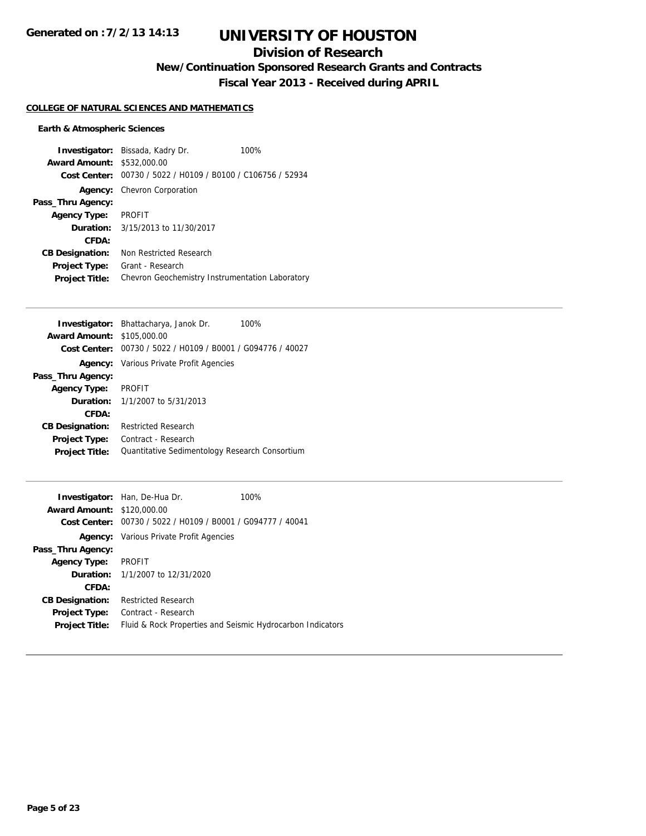## **Division of Research**

**New/Continuation Sponsored Research Grants and Contracts**

**Fiscal Year 2013 - Received during APRIL**

#### **COLLEGE OF NATURAL SCIENCES AND MATHEMATICS**

#### **Earth & Atmospheric Sciences**

**Investigator:** Bissada, Kadry Dr. 100% **Award Amount:** \$532,000.00 **Cost Center:** 00730 / 5022 / H0109 / B0100 / C106756 / 52934 **Agency:** Chevron Corporation **Pass\_Thru Agency: Agency Type:** PROFIT **Duration:** 3/15/2013 to 11/30/2017 **CFDA: CB Designation:** Non Restricted Research **Project Type:** Grant - Research **Project Title:** Chevron Geochemistry Instrumentation Laboratory

| Investigator: Bhattacharya, Janok Dr.<br>100%               |  |
|-------------------------------------------------------------|--|
| <b>Award Amount: \$105,000.00</b>                           |  |
| Cost Center: 00730 / 5022 / H0109 / B0001 / G094776 / 40027 |  |
| <b>Agency:</b> Various Private Profit Agencies              |  |
|                                                             |  |
| <b>PROFIT</b>                                               |  |
| <b>Duration:</b> $1/1/2007$ to $5/31/2013$                  |  |
|                                                             |  |
| <b>Restricted Research</b>                                  |  |
| Contract - Research                                         |  |
| Quantitative Sedimentology Research Consortium              |  |
|                                                             |  |

|                        | <b>Investigator:</b> Han, De-Hua Dr.                        | 100% |
|------------------------|-------------------------------------------------------------|------|
| <b>Award Amount:</b>   | \$120,000.00                                                |      |
|                        | Cost Center: 00730 / 5022 / H0109 / B0001 / G094777 / 40041 |      |
|                        | <b>Agency:</b> Various Private Profit Agencies              |      |
| Pass_Thru Agency:      |                                                             |      |
| Agency Type:           | PROFIT                                                      |      |
|                        | <b>Duration:</b> 1/1/2007 to 12/31/2020                     |      |
| CFDA:                  |                                                             |      |
| <b>CB Designation:</b> | <b>Restricted Research</b>                                  |      |
| <b>Project Type:</b>   | Contract - Research                                         |      |
| <b>Project Title:</b>  | Fluid & Rock Properties and Seismic Hydrocarbon Indicators  |      |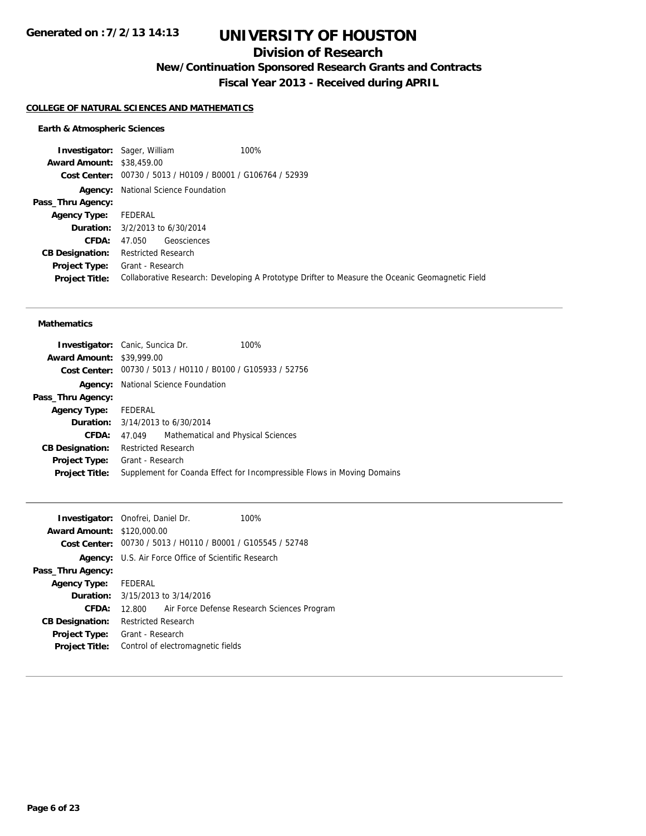## **Division of Research**

**New/Continuation Sponsored Research Grants and Contracts**

**Fiscal Year 2013 - Received during APRIL**

#### **COLLEGE OF NATURAL SCIENCES AND MATHEMATICS**

#### **Earth & Atmospheric Sciences**

**Investigator:** Sager, William 100% **Award Amount:** \$38,459.00 **Cost Center:** 00730 / 5013 / H0109 / B0001 / G106764 / 52939 **Agency:** National Science Foundation **Pass\_Thru Agency: Agency Type:** FEDERAL **Duration:** 3/2/2013 to 6/30/2014 **CFDA:** 47.050 Geosciences **CB Designation:** Restricted Research **Project Type:** Grant - Research **Project Title:** Collaborative Research: Developing A Prototype Drifter to Measure the Oceanic Geomagnetic Field

#### **Mathematics**

| <b>Investigator:</b> Canic, Suncica Dr. |                            |                                                             | 100%                                                                    |
|-----------------------------------------|----------------------------|-------------------------------------------------------------|-------------------------------------------------------------------------|
| <b>Award Amount: \$39,999.00</b>        |                            |                                                             |                                                                         |
|                                         |                            | Cost Center: 00730 / 5013 / H0110 / B0100 / G105933 / 52756 |                                                                         |
|                                         |                            | <b>Agency:</b> National Science Foundation                  |                                                                         |
| Pass_Thru Agency:                       |                            |                                                             |                                                                         |
| Agency Type: FEDERAL                    |                            |                                                             |                                                                         |
|                                         |                            | <b>Duration:</b> $3/14/2013$ to $6/30/2014$                 |                                                                         |
| CFDA:                                   | 47.049                     | Mathematical and Physical Sciences                          |                                                                         |
| <b>CB Designation:</b>                  | <b>Restricted Research</b> |                                                             |                                                                         |
| Project Type:                           | Grant - Research           |                                                             |                                                                         |
| <b>Project Title:</b>                   |                            |                                                             | Supplement for Coanda Effect for Incompressible Flows in Moving Domains |
|                                         |                            |                                                             |                                                                         |

|                                   | <b>Investigator:</b> Onofrei, Daniel Dr.                    | 100%                                        |
|-----------------------------------|-------------------------------------------------------------|---------------------------------------------|
| <b>Award Amount: \$120,000.00</b> |                                                             |                                             |
|                                   | Cost Center: 00730 / 5013 / H0110 / B0001 / G105545 / 52748 |                                             |
|                                   | <b>Agency:</b> U.S. Air Force Office of Scientific Research |                                             |
| Pass_Thru Agency:                 |                                                             |                                             |
| Agency Type: FEDERAL              |                                                             |                                             |
|                                   | <b>Duration:</b> 3/15/2013 to 3/14/2016                     |                                             |
| CFDA:                             | 12.800                                                      | Air Force Defense Research Sciences Program |
| <b>CB Designation:</b>            | <b>Restricted Research</b>                                  |                                             |
| <b>Project Type:</b>              | Grant - Research                                            |                                             |
| <b>Project Title:</b>             | Control of electromagnetic fields                           |                                             |
|                                   |                                                             |                                             |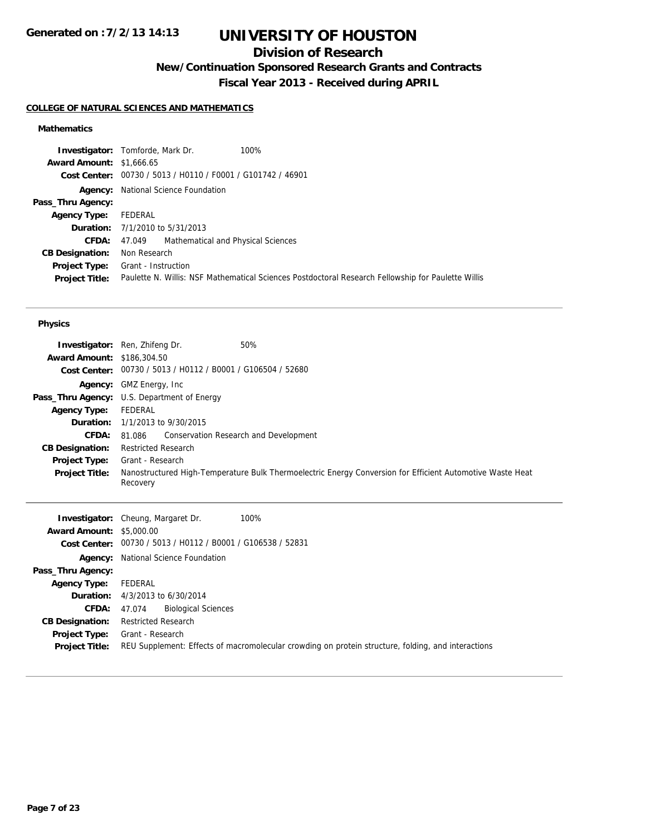## **Division of Research**

**New/Continuation Sponsored Research Grants and Contracts**

**Fiscal Year 2013 - Received during APRIL**

### **COLLEGE OF NATURAL SCIENCES AND MATHEMATICS**

### **Mathematics**

| <b>Award Amount: \$1,666.65</b><br>Cost Center: 00730 / 5013 / H0110 / F0001 / G101742 / 46901<br><b>Agency:</b> National Science Foundation<br>Pass_Thru Agency:<br>FEDERAL<br><b>Agency Type:</b><br><b>Duration:</b> 7/1/2010 to 5/31/2013<br>Mathematical and Physical Sciences<br><b>CFDA:</b><br>47.049<br>Non Research<br><b>CB Designation:</b><br>Grant - Instruction<br>Project Type:<br>Paulette N. Willis: NSF Mathematical Sciences Postdoctoral Research Fellowship for Paulette Willis<br><b>Project Title:</b> | 100%<br><b>Investigator:</b> Tomforde, Mark Dr. |  |
|--------------------------------------------------------------------------------------------------------------------------------------------------------------------------------------------------------------------------------------------------------------------------------------------------------------------------------------------------------------------------------------------------------------------------------------------------------------------------------------------------------------------------------|-------------------------------------------------|--|
|                                                                                                                                                                                                                                                                                                                                                                                                                                                                                                                                |                                                 |  |
|                                                                                                                                                                                                                                                                                                                                                                                                                                                                                                                                |                                                 |  |
|                                                                                                                                                                                                                                                                                                                                                                                                                                                                                                                                |                                                 |  |
|                                                                                                                                                                                                                                                                                                                                                                                                                                                                                                                                |                                                 |  |
|                                                                                                                                                                                                                                                                                                                                                                                                                                                                                                                                |                                                 |  |
|                                                                                                                                                                                                                                                                                                                                                                                                                                                                                                                                |                                                 |  |
|                                                                                                                                                                                                                                                                                                                                                                                                                                                                                                                                |                                                 |  |
|                                                                                                                                                                                                                                                                                                                                                                                                                                                                                                                                |                                                 |  |
|                                                                                                                                                                                                                                                                                                                                                                                                                                                                                                                                |                                                 |  |
|                                                                                                                                                                                                                                                                                                                                                                                                                                                                                                                                |                                                 |  |

#### **Physics**

|                                   | <b>Investigator:</b> Ren, Zhifeng Dr.<br>50%                                                                          |
|-----------------------------------|-----------------------------------------------------------------------------------------------------------------------|
| <b>Award Amount: \$186,304.50</b> |                                                                                                                       |
|                                   | Cost Center: 00730 / 5013 / H0112 / B0001 / G106504 / 52680                                                           |
|                                   | <b>Agency:</b> GMZ Energy, Inc.                                                                                       |
|                                   | <b>Pass_Thru Agency:</b> U.S. Department of Energy                                                                    |
| <b>Agency Type:</b>               | FEDERAL                                                                                                               |
|                                   | <b>Duration:</b> 1/1/2013 to 9/30/2015                                                                                |
| <b>CFDA:</b>                      | 81.086 Conservation Research and Development                                                                          |
| <b>CB Designation:</b>            | <b>Restricted Research</b>                                                                                            |
| Project Type:                     | Grant - Research                                                                                                      |
| <b>Project Title:</b>             | Nanostructured High-Temperature Bulk Thermoelectric Energy Conversion for Efficient Automotive Waste Heat<br>Recovery |

|                                 | 100%<br><b>Investigator:</b> Cheung, Margaret Dr.                                                  |
|---------------------------------|----------------------------------------------------------------------------------------------------|
| <b>Award Amount: \$5,000.00</b> |                                                                                                    |
|                                 | Cost Center: 00730 / 5013 / H0112 / B0001 / G106538 / 52831                                        |
|                                 | <b>Agency:</b> National Science Foundation                                                         |
| Pass_Thru Agency:               |                                                                                                    |
| <b>Agency Type:</b>             | FEDERAL                                                                                            |
|                                 | <b>Duration:</b> $4/3/2013$ to $6/30/2014$                                                         |
| <b>CFDA:</b>                    | <b>Biological Sciences</b><br>47.074                                                               |
| <b>CB Designation:</b>          | <b>Restricted Research</b>                                                                         |
| Project Type:                   | Grant - Research                                                                                   |
| <b>Project Title:</b>           | REU Supplement: Effects of macromolecular crowding on protein structure, folding, and interactions |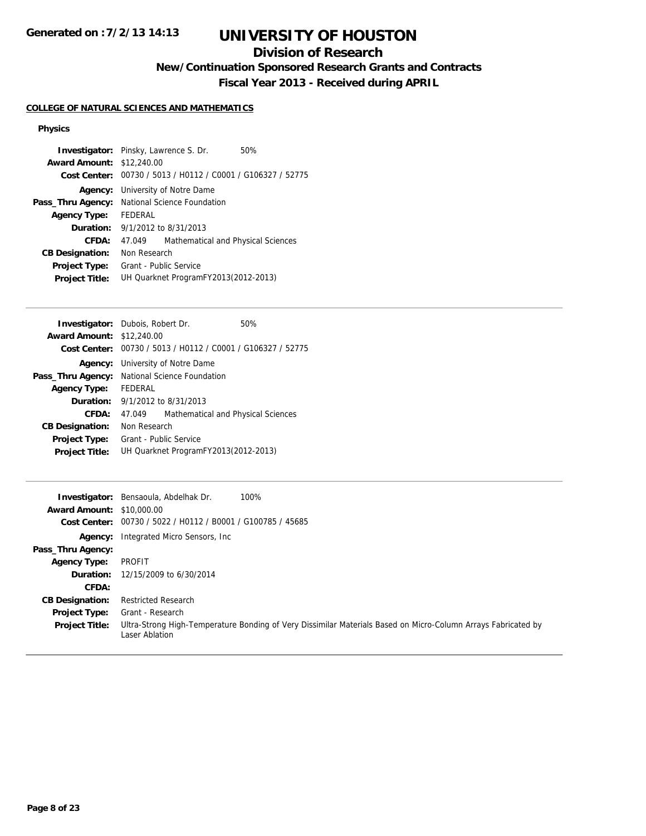## **Division of Research**

**New/Continuation Sponsored Research Grants and Contracts**

**Fiscal Year 2013 - Received during APRIL**

### **COLLEGE OF NATURAL SCIENCES AND MATHEMATICS**

#### **Physics**

|                                  | <b>Investigator:</b> Pinsky, Lawrence S. Dr.<br>50%         |  |
|----------------------------------|-------------------------------------------------------------|--|
| <b>Award Amount: \$12,240.00</b> |                                                             |  |
|                                  | Cost Center: 00730 / 5013 / H0112 / C0001 / G106327 / 52775 |  |
| Agency:                          | University of Notre Dame                                    |  |
| Pass_Thru Agency:                | National Science Foundation                                 |  |
| <b>Agency Type:</b>              | <b>FFDFRAL</b>                                              |  |
|                                  | <b>Duration:</b> 9/1/2012 to 8/31/2013                      |  |
| CFDA:                            | Mathematical and Physical Sciences<br>47.049                |  |
| <b>CB Designation:</b>           | Non Research                                                |  |
| <b>Project Type:</b>             | Grant - Public Service                                      |  |
| <b>Project Title:</b>            | UH Quarknet ProgramFY2013(2012-2013)                        |  |
|                                  |                                                             |  |

| <b>Investigator:</b> Dubois, Robert Dr.              |                                      |                                                             | 50% |
|------------------------------------------------------|--------------------------------------|-------------------------------------------------------------|-----|
| <b>Award Amount:</b>                                 | \$12,240.00                          |                                                             |     |
|                                                      |                                      | Cost Center: 00730 / 5013 / H0112 / C0001 / G106327 / 52775 |     |
|                                                      |                                      | <b>Agency:</b> University of Notre Dame                     |     |
| <b>Pass_Thru Agency:</b> National Science Foundation |                                      |                                                             |     |
| <b>Agency Type:</b>                                  | FEDERAL                              |                                                             |     |
| <b>Duration:</b> 9/1/2012 to 8/31/2013               |                                      |                                                             |     |
| CFDA:                                                | 47.049                               | Mathematical and Physical Sciences                          |     |
| <b>CB Designation:</b>                               | Non Research                         |                                                             |     |
| <b>Project Type:</b>                                 | Grant - Public Service               |                                                             |     |
| <b>Project Title:</b>                                | UH Quarknet ProgramFY2013(2012-2013) |                                                             |     |

| <b>Award Amount: \$10,000.00</b> | <b>Investigator:</b> Bensaoula, Abdelhak Dr.                | 100%                                                                                                          |
|----------------------------------|-------------------------------------------------------------|---------------------------------------------------------------------------------------------------------------|
|                                  | Cost Center: 00730 / 5022 / H0112 / B0001 / G100785 / 45685 |                                                                                                               |
|                                  | <b>Agency:</b> Integrated Micro Sensors, Inc.               |                                                                                                               |
| Pass_Thru Agency:                |                                                             |                                                                                                               |
| <b>Agency Type:</b>              | PROFIT                                                      |                                                                                                               |
| Duration:                        | 12/15/2009 to 6/30/2014                                     |                                                                                                               |
| CFDA:                            |                                                             |                                                                                                               |
| <b>CB Designation:</b>           | <b>Restricted Research</b>                                  |                                                                                                               |
| Project Type:                    | Grant - Research                                            |                                                                                                               |
| <b>Project Title:</b>            | Laser Ablation                                              | Ultra-Strong High-Temperature Bonding of Very Dissimilar Materials Based on Micro-Column Arrays Fabricated by |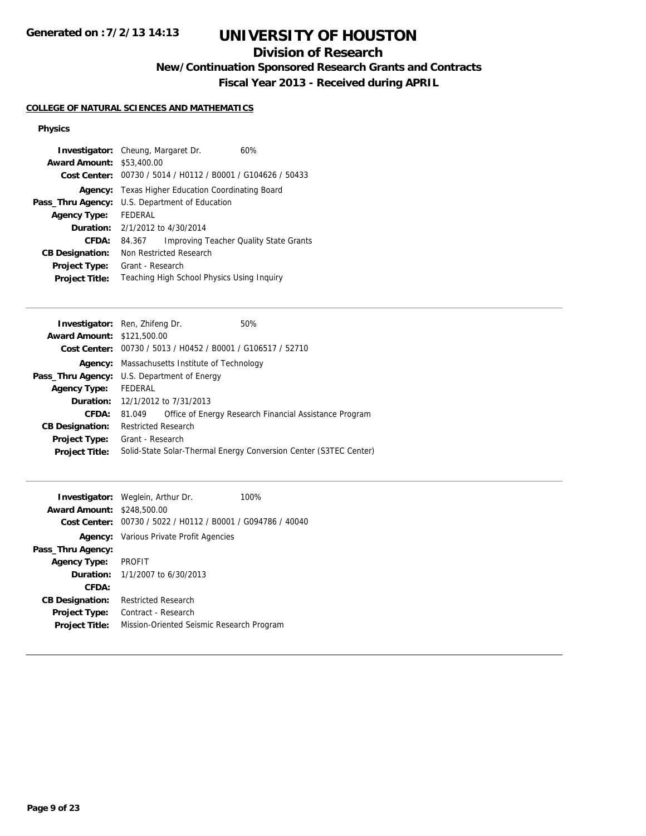## **Division of Research**

**New/Continuation Sponsored Research Grants and Contracts**

**Fiscal Year 2013 - Received during APRIL**

### **COLLEGE OF NATURAL SCIENCES AND MATHEMATICS**

#### **Physics**

|                                  | <b>Investigator:</b> Cheung, Margaret Dr.  | 60%                                            |
|----------------------------------|--------------------------------------------|------------------------------------------------|
| <b>Award Amount: \$53,400.00</b> |                                            |                                                |
| Cost Center:                     |                                            | 00730 / 5014 / H0112 / B0001 / G104626 / 50433 |
| Agency:                          | Texas Higher Education Coordinating Board  |                                                |
| Pass_Thru Agency:                | U.S. Department of Education               |                                                |
| <b>Agency Type:</b>              | <b>FFDFRAL</b>                             |                                                |
|                                  | <b>Duration:</b> $2/1/2012$ to $4/30/2014$ |                                                |
| CFDA:                            | 84.367                                     | Improving Teacher Quality State Grants         |
| <b>CB Designation:</b>           | Non Restricted Research                    |                                                |
| <b>Project Type:</b>             | Grant - Research                           |                                                |
| <b>Project Title:</b>            | Teaching High School Physics Using Inquiry |                                                |

| <b>Investigator:</b> Ren, Zhifeng Dr.              |                            |                                                             | 50%                                                               |
|----------------------------------------------------|----------------------------|-------------------------------------------------------------|-------------------------------------------------------------------|
| <b>Award Amount: \$121,500.00</b>                  |                            |                                                             |                                                                   |
|                                                    |                            | Cost Center: 00730 / 5013 / H0452 / B0001 / G106517 / 52710 |                                                                   |
| Agency:                                            |                            | Massachusetts Institute of Technology                       |                                                                   |
| <b>Pass_Thru Agency:</b> U.S. Department of Energy |                            |                                                             |                                                                   |
| <b>Agency Type:</b>                                | FEDERAL                    |                                                             |                                                                   |
|                                                    |                            | <b>Duration:</b> 12/1/2012 to 7/31/2013                     |                                                                   |
| <b>CFDA:</b>                                       | 81.049                     |                                                             | Office of Energy Research Financial Assistance Program            |
| <b>CB Designation:</b>                             | <b>Restricted Research</b> |                                                             |                                                                   |
| <b>Project Type:</b>                               | Grant - Research           |                                                             |                                                                   |
| <b>Project Title:</b>                              |                            |                                                             | Solid-State Solar-Thermal Energy Conversion Center (S3TEC Center) |
|                                                    |                            |                                                             |                                                                   |

|                        | <b>Investigator:</b> Weglein, Arthur Dr.       | 100% |
|------------------------|------------------------------------------------|------|
| <b>Award Amount:</b>   | \$248,500.00                                   |      |
| Cost Center:           | 00730 / 5022 / H0112 / B0001 / G094786 / 40040 |      |
|                        | <b>Agency:</b> Various Private Profit Agencies |      |
| Pass_Thru Agency:      |                                                |      |
| <b>Agency Type:</b>    | <b>PROFIT</b>                                  |      |
|                        | <b>Duration:</b> $1/1/2007$ to $6/30/2013$     |      |
| CFDA:                  |                                                |      |
| <b>CB Designation:</b> | Restricted Research                            |      |
| <b>Project Type:</b>   | Contract - Research                            |      |
| <b>Project Title:</b>  | Mission-Oriented Seismic Research Program      |      |
|                        |                                                |      |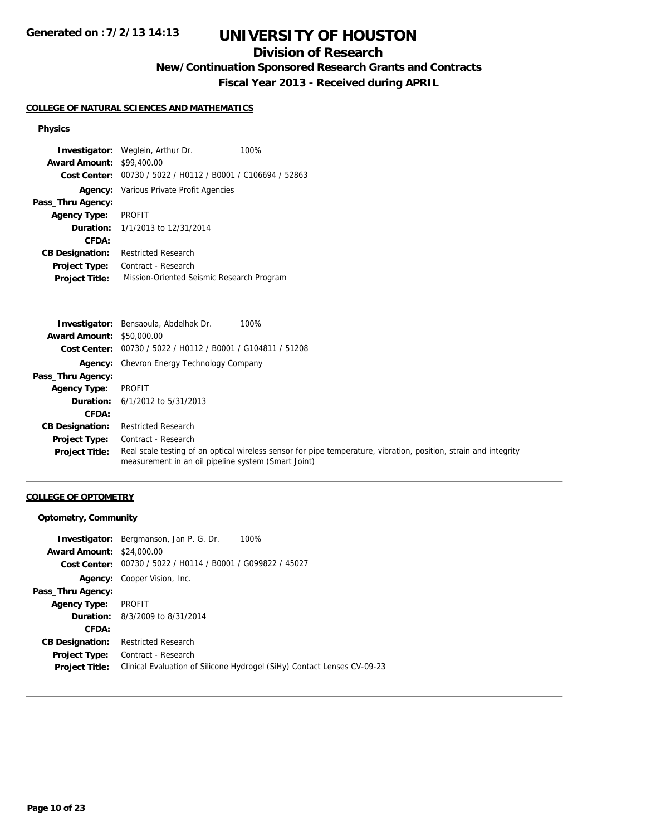## **Division of Research**

**New/Continuation Sponsored Research Grants and Contracts**

**Fiscal Year 2013 - Received during APRIL**

#### **COLLEGE OF NATURAL SCIENCES AND MATHEMATICS**

#### **Physics**

**Investigator:** Weglein, Arthur Dr. 100% **Award Amount:** \$99,400.00 **Cost Center:** 00730 / 5022 / H0112 / B0001 / C106694 / 52863 **Agency:** Various Private Profit Agencies **Pass\_Thru Agency: Agency Type:** PROFIT **Duration:** 1/1/2013 to 12/31/2014 **CFDA: CB Designation:** Restricted Research **Project Type:** Contract - Research **Project Title:** Mission-Oriented Seismic Research Program

|                                  | 100%<br><b>Investigator:</b> Bensaoula, Abdelhak Dr.                                                                                                                    |
|----------------------------------|-------------------------------------------------------------------------------------------------------------------------------------------------------------------------|
| <b>Award Amount: \$50,000.00</b> |                                                                                                                                                                         |
|                                  | Cost Center: 00730 / 5022 / H0112 / B0001 / G104811 / 51208                                                                                                             |
|                                  | <b>Agency:</b> Chevron Energy Technology Company                                                                                                                        |
| Pass_Thru Agency:                |                                                                                                                                                                         |
| <b>Agency Type:</b>              | PROFIT                                                                                                                                                                  |
|                                  | <b>Duration:</b> $6/1/2012$ to $5/31/2013$                                                                                                                              |
| CFDA:                            |                                                                                                                                                                         |
| <b>CB Designation:</b>           | <b>Restricted Research</b>                                                                                                                                              |
| <b>Project Type:</b>             | Contract - Research                                                                                                                                                     |
| <b>Project Title:</b>            | Real scale testing of an optical wireless sensor for pipe temperature, vibration, position, strain and integrity<br>measurement in an oil pipeline system (Smart Joint) |

#### **COLLEGE OF OPTOMETRY**

#### **Optometry, Community**

|                                  | <b>Investigator:</b> Bergmanson, Jan P. G. Dr.<br>100%                  |
|----------------------------------|-------------------------------------------------------------------------|
| <b>Award Amount: \$24,000.00</b> |                                                                         |
|                                  | Cost Center: 00730 / 5022 / H0114 / B0001 / G099822 / 45027             |
|                                  | <b>Agency:</b> Cooper Vision, Inc.                                      |
| Pass_Thru Agency:                |                                                                         |
| <b>Agency Type:</b>              | PROFIT                                                                  |
|                                  | <b>Duration:</b> 8/3/2009 to 8/31/2014                                  |
| CFDA:                            |                                                                         |
| <b>CB Designation:</b>           | <b>Restricted Research</b>                                              |
| <b>Project Type:</b>             | Contract - Research                                                     |
| <b>Project Title:</b>            | Clinical Evaluation of Silicone Hydrogel (SiHy) Contact Lenses CV-09-23 |
|                                  |                                                                         |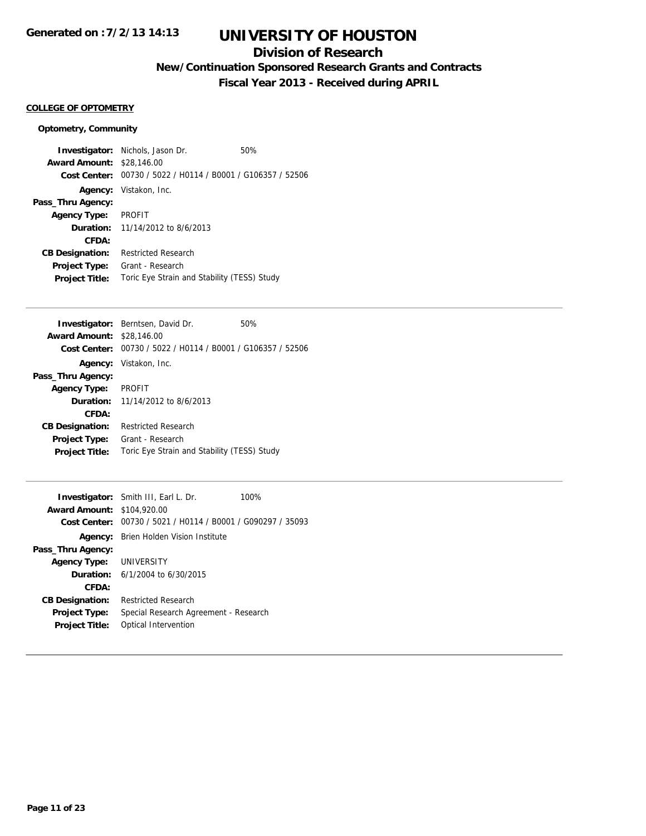## **Division of Research**

**New/Continuation Sponsored Research Grants and Contracts**

**Fiscal Year 2013 - Received during APRIL**

### **COLLEGE OF OPTOMETRY**

### **Optometry, Community**

|                                  | <b>Investigator:</b> Nichols, Jason Dr.        | 50% |
|----------------------------------|------------------------------------------------|-----|
| <b>Award Amount: \$28,146.00</b> |                                                |     |
| Cost Center:                     | 00730 / 5022 / H0114 / B0001 / G106357 / 52506 |     |
|                                  | Agency: Vistakon, Inc.                         |     |
| Pass_Thru Agency:                |                                                |     |
| <b>Agency Type:</b>              | PROFIT                                         |     |
|                                  | <b>Duration:</b> 11/14/2012 to 8/6/2013        |     |
| CFDA:                            |                                                |     |
| <b>CB Designation:</b>           | <b>Restricted Research</b>                     |     |
| <b>Project Type:</b>             | Grant - Research                               |     |
| <b>Project Title:</b>            | Toric Eye Strain and Stability (TESS) Study    |     |

| <b>Investigator:</b> Berntsen, David Dr.       | 50% |
|------------------------------------------------|-----|
| <b>Award Amount:</b><br>\$28,146.00            |     |
| 00730 / 5022 / H0114 / B0001 / G106357 / 52506 |     |
| Vistakon, Inc.                                 |     |
|                                                |     |
| <b>PROFIT</b>                                  |     |
| 11/14/2012 to 8/6/2013<br><b>Duration:</b>     |     |
|                                                |     |
| <b>Restricted Research</b>                     |     |
| Grant - Research                               |     |
| Toric Eye Strain and Stability (TESS) Study    |     |
|                                                |     |

|                                   | <b>Investigator:</b> Smith III, Earl L. Dr.                 | 100% |
|-----------------------------------|-------------------------------------------------------------|------|
| <b>Award Amount: \$104,920.00</b> |                                                             |      |
|                                   | Cost Center: 00730 / 5021 / H0114 / B0001 / G090297 / 35093 |      |
|                                   | <b>Agency:</b> Brien Holden Vision Institute                |      |
| Pass_Thru Agency:                 |                                                             |      |
| Agency Type: UNIVERSITY           |                                                             |      |
|                                   | <b>Duration:</b> $6/1/2004$ to $6/30/2015$                  |      |
| CFDA:                             |                                                             |      |
| <b>CB Designation:</b>            | <b>Restricted Research</b>                                  |      |
| <b>Project Type:</b>              | Special Research Agreement - Research                       |      |
| <b>Project Title:</b>             | Optical Intervention                                        |      |
|                                   |                                                             |      |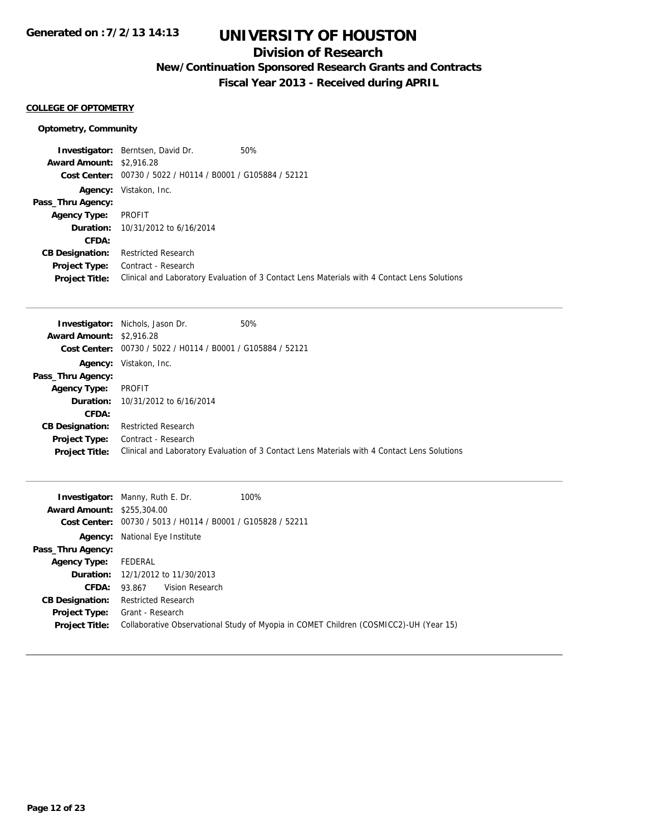## **Division of Research**

**New/Continuation Sponsored Research Grants and Contracts**

**Fiscal Year 2013 - Received during APRIL**

### **COLLEGE OF OPTOMETRY**

### **Optometry, Community**

|                                 | <b>Investigator:</b> Berntsen, David Dr.                    | 50%                                                                                          |
|---------------------------------|-------------------------------------------------------------|----------------------------------------------------------------------------------------------|
| <b>Award Amount: \$2,916.28</b> |                                                             |                                                                                              |
|                                 | Cost Center: 00730 / 5022 / H0114 / B0001 / G105884 / 52121 |                                                                                              |
| Agency:                         | Vistakon, Inc.                                              |                                                                                              |
| Pass_Thru Agency:               |                                                             |                                                                                              |
| <b>Agency Type:</b>             | PROFIT                                                      |                                                                                              |
|                                 | <b>Duration:</b> 10/31/2012 to 6/16/2014                    |                                                                                              |
| CFDA:                           |                                                             |                                                                                              |
| <b>CB Designation:</b>          | <b>Restricted Research</b>                                  |                                                                                              |
| Project Type:                   | Contract - Research                                         |                                                                                              |
| <b>Project Title:</b>           |                                                             | Clinical and Laboratory Evaluation of 3 Contact Lens Materials with 4 Contact Lens Solutions |

|                                 | <b>Investigator:</b> Nichols, Jason Dr.                     | 50%                                                                                          |
|---------------------------------|-------------------------------------------------------------|----------------------------------------------------------------------------------------------|
| <b>Award Amount: \$2,916.28</b> |                                                             |                                                                                              |
|                                 | Cost Center: 00730 / 5022 / H0114 / B0001 / G105884 / 52121 |                                                                                              |
|                                 | Agency: Vistakon, Inc.                                      |                                                                                              |
| Pass_Thru Agency:               |                                                             |                                                                                              |
| <b>Agency Type:</b>             | <b>PROFIT</b>                                               |                                                                                              |
|                                 | <b>Duration:</b> $10/31/2012$ to $6/16/2014$                |                                                                                              |
| CFDA:                           |                                                             |                                                                                              |
| <b>CB Designation:</b>          | <b>Restricted Research</b>                                  |                                                                                              |
| <b>Project Type:</b>            | Contract - Research                                         |                                                                                              |
| <b>Project Title:</b>           |                                                             | Clinical and Laboratory Evaluation of 3 Contact Lens Materials with 4 Contact Lens Solutions |

| <b>Award Amount: \$255,304.00</b>             | 100%<br><b>Investigator:</b> Manny, Ruth E. Dr.<br>Cost Center: 00730 / 5013 / H0114 / B0001 / G105828 / 52211 |
|-----------------------------------------------|----------------------------------------------------------------------------------------------------------------|
| Agency:                                       | National Eye Institute                                                                                         |
| Pass_Thru Agency:                             |                                                                                                                |
| <b>Agency Type:</b>                           | FEDERAL                                                                                                        |
|                                               | <b>Duration:</b> 12/1/2012 to 11/30/2013                                                                       |
| CFDA:                                         | Vision Research<br>93.867                                                                                      |
| <b>CB Designation:</b>                        | <b>Restricted Research</b>                                                                                     |
| <b>Project Type:</b><br><b>Project Title:</b> | Grant - Research<br>Collaborative Observational Study of Myopia in COMET Children (COSMICC2)-UH (Year 15)      |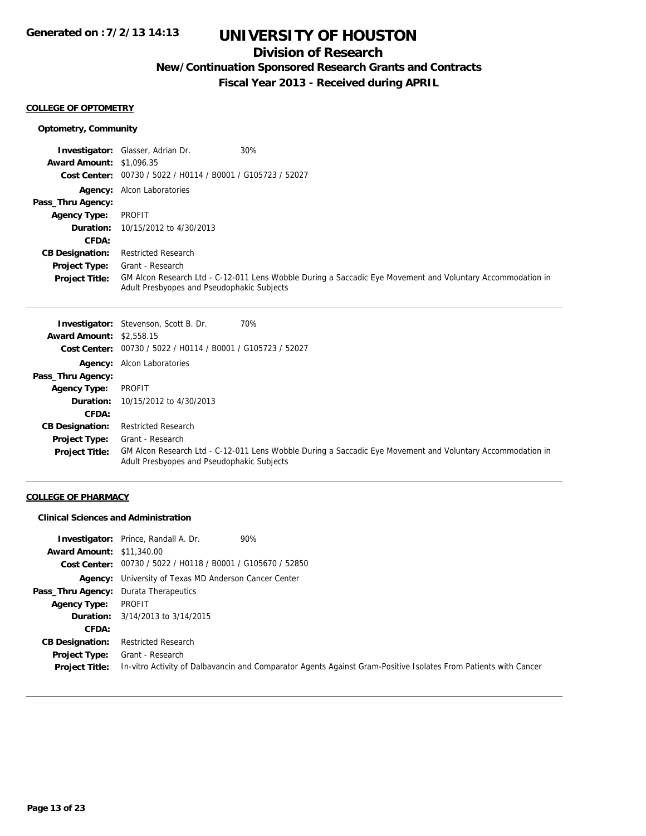## **Division of Research**

**New/Continuation Sponsored Research Grants and Contracts**

**Fiscal Year 2013 - Received during APRIL**

#### **COLLEGE OF OPTOMETRY**

### **Optometry, Community**

|                                 | 30%<br><b>Investigator:</b> Glasser, Adrian Dr.                                                                                                          |
|---------------------------------|----------------------------------------------------------------------------------------------------------------------------------------------------------|
| <b>Award Amount: \$1,096.35</b> |                                                                                                                                                          |
|                                 | Cost Center: 00730 / 5022 / H0114 / B0001 / G105723 / 52027                                                                                              |
|                                 | <b>Agency:</b> Alcon Laboratories                                                                                                                        |
| Pass_Thru Agency:               |                                                                                                                                                          |
| <b>Agency Type:</b>             | PROFIT                                                                                                                                                   |
|                                 | <b>Duration:</b> 10/15/2012 to 4/30/2013                                                                                                                 |
| CFDA:                           |                                                                                                                                                          |
| <b>CB Designation:</b>          | <b>Restricted Research</b>                                                                                                                               |
| Project Type:                   | Grant - Research                                                                                                                                         |
| <b>Project Title:</b>           | GM Alcon Research Ltd - C-12-011 Lens Wobble During a Saccadic Eye Movement and Voluntary Accommodation in<br>Adult Presbyopes and Pseudophakic Subjects |

|                                 | 70%<br><b>Investigator:</b> Stevenson, Scott B. Dr.                                                                                                      |
|---------------------------------|----------------------------------------------------------------------------------------------------------------------------------------------------------|
| <b>Award Amount: \$2,558.15</b> |                                                                                                                                                          |
| <b>Cost Center:</b>             | 00730 / 5022 / H0114 / B0001 / G105723 / 52027                                                                                                           |
|                                 | <b>Agency:</b> Alcon Laboratories                                                                                                                        |
| Pass_Thru Agency:               |                                                                                                                                                          |
| <b>Agency Type:</b>             | <b>PROFIT</b>                                                                                                                                            |
| <b>Duration:</b>                | 10/15/2012 to 4/30/2013                                                                                                                                  |
| CFDA:                           |                                                                                                                                                          |
| <b>CB Designation:</b>          | <b>Restricted Research</b>                                                                                                                               |
| Project Type:                   | Grant - Research                                                                                                                                         |
| <b>Project Title:</b>           | GM Alcon Research Ltd - C-12-011 Lens Wobble During a Saccadic Eye Movement and Voluntary Accommodation in<br>Adult Presbyopes and Pseudophakic Subjects |

### **COLLEGE OF PHARMACY**

### **Clinical Sciences and Administration**

|                                       | 90%<br><b>Investigator:</b> Prince, Randall A. Dr.                                                              |
|---------------------------------------|-----------------------------------------------------------------------------------------------------------------|
| <b>Award Amount: \$11,340.00</b>      |                                                                                                                 |
|                                       | Cost Center: 00730 / 5022 / H0118 / B0001 / G105670 / 52850                                                     |
|                                       | <b>Agency:</b> University of Texas MD Anderson Cancer Center                                                    |
| Pass_Thru Agency: Durata Therapeutics |                                                                                                                 |
| <b>Agency Type:</b>                   | PROFIT                                                                                                          |
|                                       | <b>Duration:</b> 3/14/2013 to 3/14/2015                                                                         |
| CFDA:                                 |                                                                                                                 |
| <b>CB Designation:</b>                | <b>Restricted Research</b>                                                                                      |
| Project Type:                         | Grant - Research                                                                                                |
| <b>Project Title:</b>                 | In-vitro Activity of Dalbavancin and Comparator Agents Against Gram-Positive Isolates From Patients with Cancer |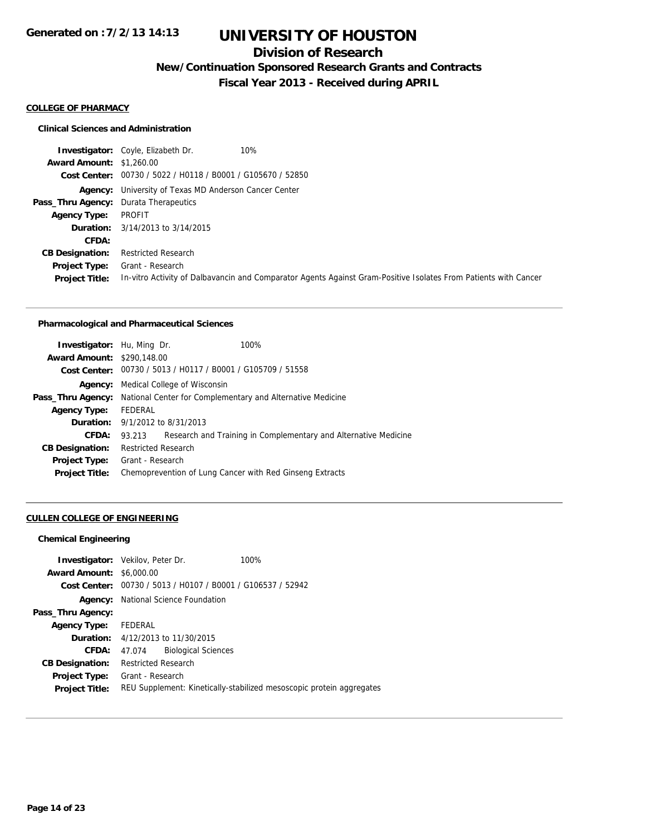## **Division of Research**

**New/Continuation Sponsored Research Grants and Contracts**

**Fiscal Year 2013 - Received during APRIL**

#### **COLLEGE OF PHARMACY**

#### **Clinical Sciences and Administration**

|                                              | 10%<br><b>Investigator:</b> Coyle, Elizabeth Dr.                                                                |
|----------------------------------------------|-----------------------------------------------------------------------------------------------------------------|
| <b>Award Amount: \$1,260.00</b>              |                                                                                                                 |
|                                              | Cost Center: 00730 / 5022 / H0118 / B0001 / G105670 / 52850                                                     |
|                                              | <b>Agency:</b> University of Texas MD Anderson Cancer Center                                                    |
| <b>Pass_Thru Agency:</b> Durata Therapeutics |                                                                                                                 |
| <b>Agency Type:</b>                          | PROFIT                                                                                                          |
|                                              | <b>Duration:</b> 3/14/2013 to 3/14/2015                                                                         |
| CFDA:                                        |                                                                                                                 |
| <b>CB Designation:</b>                       | <b>Restricted Research</b>                                                                                      |
| Project Type:                                | Grant - Research                                                                                                |
| <b>Project Title:</b>                        | In-vitro Activity of Dalbavancin and Comparator Agents Against Gram-Positive Isolates From Patients with Cancer |

#### **Pharmacological and Pharmaceutical Sciences**

| <b>Investigator:</b> Hu, Ming Dr. |                            |                                                             | 100%                                                            |
|-----------------------------------|----------------------------|-------------------------------------------------------------|-----------------------------------------------------------------|
| <b>Award Amount: \$290.148.00</b> |                            |                                                             |                                                                 |
|                                   |                            | Cost Center: 00730 / 5013 / H0117 / B0001 / G105709 / 51558 |                                                                 |
| Agency:                           |                            | Medical College of Wisconsin                                |                                                                 |
| Pass_Thru Agency:                 |                            |                                                             | National Center for Complementary and Alternative Medicine      |
| <b>Agency Type:</b>               | FEDERAL                    |                                                             |                                                                 |
|                                   |                            | <b>Duration:</b> 9/1/2012 to 8/31/2013                      |                                                                 |
| CFDA:                             | 93.213                     |                                                             | Research and Training in Complementary and Alternative Medicine |
| <b>CB Designation:</b>            | <b>Restricted Research</b> |                                                             |                                                                 |
| <b>Project Type:</b>              | Grant - Research           |                                                             |                                                                 |
| <b>Project Title:</b>             |                            |                                                             | Chemoprevention of Lung Cancer with Red Ginseng Extracts        |
|                                   |                            |                                                             |                                                                 |

### **CULLEN COLLEGE OF ENGINEERING**

### **Chemical Engineering**

|                                 | <b>Investigator:</b> Vekilov, Peter Dr.        | 100%                                                                 |
|---------------------------------|------------------------------------------------|----------------------------------------------------------------------|
| <b>Award Amount: \$6,000.00</b> |                                                |                                                                      |
| Cost Center:                    | 00730 / 5013 / H0107 / B0001 / G106537 / 52942 |                                                                      |
| Agency:                         | National Science Foundation                    |                                                                      |
| Pass_Thru Agency:               |                                                |                                                                      |
| <b>Agency Type:</b>             | FEDERAL                                        |                                                                      |
|                                 | <b>Duration:</b> 4/12/2013 to 11/30/2015       |                                                                      |
| CFDA:                           | <b>Biological Sciences</b><br>47.074           |                                                                      |
| <b>CB Designation:</b>          | <b>Restricted Research</b>                     |                                                                      |
| <b>Project Type:</b>            | Grant - Research                               |                                                                      |
| <b>Project Title:</b>           |                                                | REU Supplement: Kinetically-stabilized mesoscopic protein aggregates |
|                                 |                                                |                                                                      |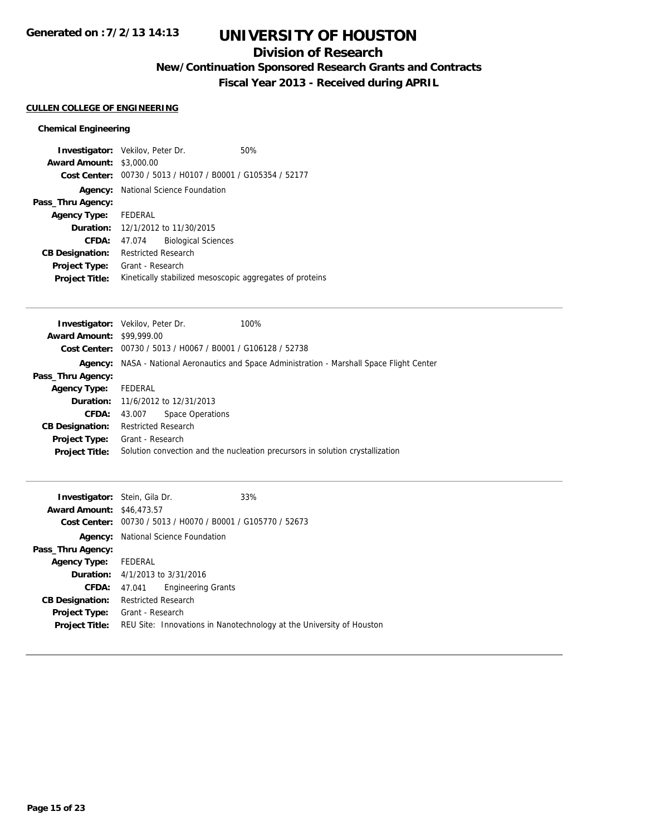## **Division of Research**

**New/Continuation Sponsored Research Grants and Contracts**

**Fiscal Year 2013 - Received during APRIL**

### **CULLEN COLLEGE OF ENGINEERING**

### **Chemical Engineering**

| <b>Investigator:</b> Vekilov, Peter Dr. |                            |                                                             | 50%                                                      |
|-----------------------------------------|----------------------------|-------------------------------------------------------------|----------------------------------------------------------|
| <b>Award Amount:</b>                    | \$3,000.00                 |                                                             |                                                          |
|                                         |                            | Cost Center: 00730 / 5013 / H0107 / B0001 / G105354 / 52177 |                                                          |
| Agency:                                 |                            | National Science Foundation                                 |                                                          |
| Pass_Thru Agency:                       |                            |                                                             |                                                          |
| <b>Agency Type:</b>                     | FEDERAL                    |                                                             |                                                          |
|                                         |                            | Duration: 12/1/2012 to 11/30/2015                           |                                                          |
| CFDA:                                   | 47.074                     | <b>Biological Sciences</b>                                  |                                                          |
| <b>CB Designation:</b>                  | <b>Restricted Research</b> |                                                             |                                                          |
| <b>Project Type:</b>                    | Grant - Research           |                                                             |                                                          |
| <b>Project Title:</b>                   |                            |                                                             | Kinetically stabilized mesoscopic aggregates of proteins |

|                                  | <b>Investigator:</b> Vekilov, Peter Dr.                     | 100%                                                                                               |
|----------------------------------|-------------------------------------------------------------|----------------------------------------------------------------------------------------------------|
| <b>Award Amount: \$99,999.00</b> |                                                             |                                                                                                    |
|                                  | Cost Center: 00730 / 5013 / H0067 / B0001 / G106128 / 52738 |                                                                                                    |
|                                  |                                                             | <b>Agency:</b> NASA - National Aeronautics and Space Administration - Marshall Space Flight Center |
| Pass_Thru Agency:                |                                                             |                                                                                                    |
| <b>Agency Type:</b>              | FEDERAL                                                     |                                                                                                    |
|                                  | <b>Duration:</b> 11/6/2012 to 12/31/2013                    |                                                                                                    |
| CFDA:                            | Space Operations<br>43.007                                  |                                                                                                    |
| <b>CB Designation:</b>           | <b>Restricted Research</b>                                  |                                                                                                    |
| Project Type:                    | Grant - Research                                            |                                                                                                    |
| <b>Project Title:</b>            |                                                             | Solution convection and the nucleation precursors in solution crystallization                      |
|                                  |                                                             |                                                                                                    |

| <b>Investigator:</b> Stein, Gila Dr.<br><b>Award Amount: \$46,473.57</b> |                            | Cost Center: 00730 / 5013 / H0070 / B0001 / G105770 / 52673 | 33%                                                                  |
|--------------------------------------------------------------------------|----------------------------|-------------------------------------------------------------|----------------------------------------------------------------------|
| Agency:                                                                  |                            | National Science Foundation                                 |                                                                      |
| Pass_Thru Agency:                                                        |                            |                                                             |                                                                      |
| <b>Agency Type:</b>                                                      | FEDERAL                    |                                                             |                                                                      |
| <b>Duration:</b> $4/1/2013$ to $3/31/2016$                               |                            |                                                             |                                                                      |
| CFDA:                                                                    | 47.041                     | <b>Engineering Grants</b>                                   |                                                                      |
| <b>CB Designation:</b>                                                   | <b>Restricted Research</b> |                                                             |                                                                      |
| <b>Project Type:</b>                                                     | Grant - Research           |                                                             |                                                                      |
| <b>Project Title:</b>                                                    |                            |                                                             | REU Site: Innovations in Nanotechnology at the University of Houston |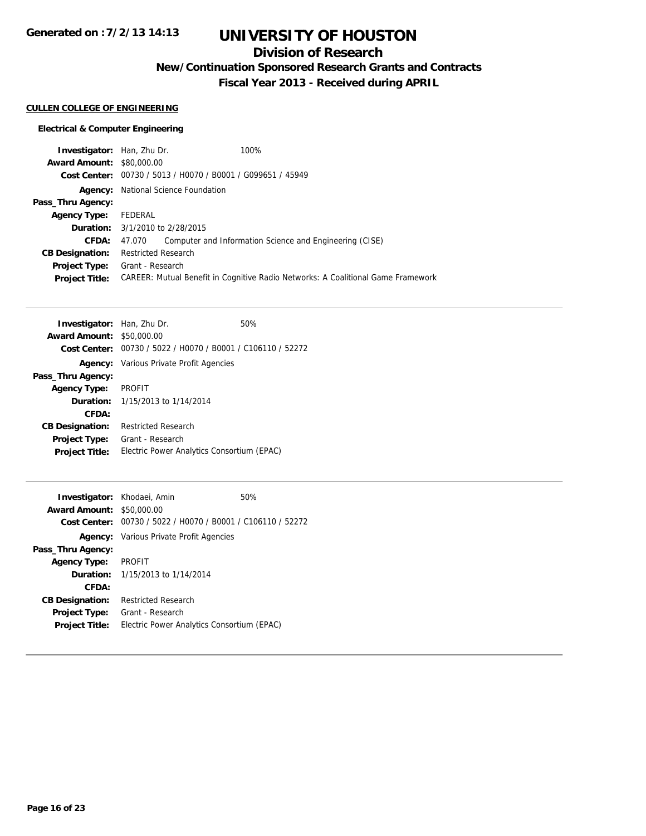# **UNIVERSITY OF HOUSTON**

## **Division of Research**

**New/Continuation Sponsored Research Grants and Contracts**

**Fiscal Year 2013 - Received during APRIL**

### **CULLEN COLLEGE OF ENGINEERING**

### **Electrical & Computer Engineering**

| <b>Investigator:</b> Han, Zhu Dr. |                                            | 100%                                                                                    |
|-----------------------------------|--------------------------------------------|-----------------------------------------------------------------------------------------|
| <b>Award Amount: \$80,000.00</b>  |                                            |                                                                                         |
|                                   |                                            | Cost Center: 00730 / 5013 / H0070 / B0001 / G099651 / 45949                             |
|                                   | <b>Agency:</b> National Science Foundation |                                                                                         |
| Pass_Thru Agency:                 |                                            |                                                                                         |
| <b>Agency Type:</b>               | FEDERAL                                    |                                                                                         |
|                                   | <b>Duration:</b> 3/1/2010 to 2/28/2015     |                                                                                         |
| CFDA:                             | 47.070                                     | Computer and Information Science and Engineering (CISE)                                 |
| <b>CB Designation:</b>            | <b>Restricted Research</b>                 |                                                                                         |
| Project Type:                     | Grant - Research                           |                                                                                         |
| <b>Project Title:</b>             |                                            | <b>CAREER: Mutual Benefit in Cognitive Radio Networks: A Coalitional Game Framework</b> |
|                                   |                                            |                                                                                         |

| Investigator: Han, Zhu Dr. |                                                             | 50% |
|----------------------------|-------------------------------------------------------------|-----|
| <b>Award Amount:</b>       | \$50,000.00                                                 |     |
|                            | Cost Center: 00730 / 5022 / H0070 / B0001 / C106110 / 52272 |     |
|                            | <b>Agency:</b> Various Private Profit Agencies              |     |
| Pass_Thru Agency:          |                                                             |     |
| <b>Agency Type:</b>        | <b>PROFIT</b>                                               |     |
|                            | <b>Duration:</b> 1/15/2013 to 1/14/2014                     |     |
| CFDA:                      |                                                             |     |
| <b>CB Designation:</b>     | Restricted Research                                         |     |
| <b>Project Type:</b>       | Grant - Research                                            |     |
| <b>Project Title:</b>      | Electric Power Analytics Consortium (EPAC)                  |     |
|                            |                                                             |     |

| Investigator: Khodaei, Amin |                                                | 50% |
|-----------------------------|------------------------------------------------|-----|
| <b>Award Amount:</b>        | \$50,000.00                                    |     |
| Cost Center:                | 00730 / 5022 / H0070 / B0001 / C106110 / 52272 |     |
|                             | <b>Agency:</b> Various Private Profit Agencies |     |
| Pass_Thru Agency:           |                                                |     |
| <b>Agency Type:</b>         | <b>PROFIT</b>                                  |     |
|                             | <b>Duration:</b> 1/15/2013 to 1/14/2014        |     |
| CFDA:                       |                                                |     |
| <b>CB Designation:</b>      | <b>Restricted Research</b>                     |     |
| <b>Project Type:</b>        | Grant - Research                               |     |
| <b>Project Title:</b>       | Electric Power Analytics Consortium (EPAC)     |     |
|                             |                                                |     |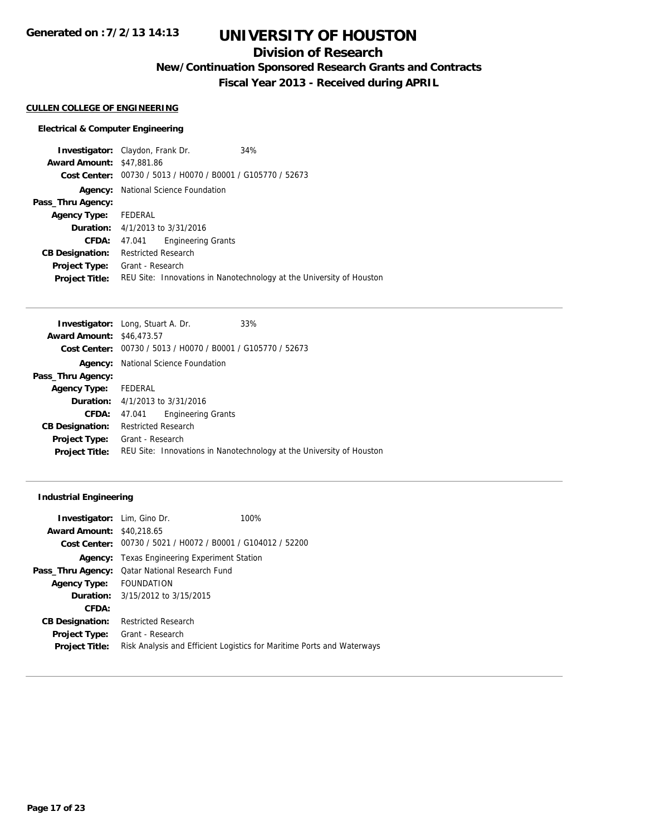# **UNIVERSITY OF HOUSTON**

## **Division of Research**

**New/Continuation Sponsored Research Grants and Contracts**

**Fiscal Year 2013 - Received during APRIL**

#### **CULLEN COLLEGE OF ENGINEERING**

#### **Electrical & Computer Engineering**

**Investigator:** Claydon, Frank Dr. 34% **Award Amount:** \$47,881.86 **Cost Center:** 00730 / 5013 / H0070 / B0001 / G105770 / 52673 **Agency:** National Science Foundation **Pass\_Thru Agency: Agency Type:** FEDERAL **Duration:** 4/1/2013 to 3/31/2016 **CFDA:** 47.041 Engineering Grants **CB Designation:** Restricted Research **Project Type:** Grant - Research **Project Title:** REU Site: Innovations in Nanotechnology at the University of Houston

| <b>Investigator:</b> Long, Stuart A. Dr. |                            |                                                             | 33%                                                                  |
|------------------------------------------|----------------------------|-------------------------------------------------------------|----------------------------------------------------------------------|
| <b>Award Amount: \$46,473.57</b>         |                            |                                                             |                                                                      |
|                                          |                            | Cost Center: 00730 / 5013 / H0070 / B0001 / G105770 / 52673 |                                                                      |
|                                          |                            | <b>Agency:</b> National Science Foundation                  |                                                                      |
| Pass_Thru Agency:                        |                            |                                                             |                                                                      |
| Agency Type:                             | FEDERAL                    |                                                             |                                                                      |
|                                          |                            | <b>Duration:</b> $4/1/2013$ to $3/31/2016$                  |                                                                      |
| CFDA:                                    | 47.041                     | <b>Engineering Grants</b>                                   |                                                                      |
| <b>CB Designation:</b>                   | <b>Restricted Research</b> |                                                             |                                                                      |
| <b>Project Type:</b>                     | Grant - Research           |                                                             |                                                                      |
| <b>Project Title:</b>                    |                            |                                                             | REU Site: Innovations in Nanotechnology at the University of Houston |
|                                          |                            |                                                             |                                                                      |

#### **Industrial Engineering**

| Investigator: Lim, Gino Dr.      | 100%                                                                   |
|----------------------------------|------------------------------------------------------------------------|
| <b>Award Amount: \$40,218.65</b> |                                                                        |
|                                  | Cost Center: 00730 / 5021 / H0072 / B0001 / G104012 / 52200            |
|                                  | <b>Agency:</b> Texas Engineering Experiment Station                    |
|                                  | <b>Pass_Thru Agency:</b> Qatar National Research Fund                  |
| Agency Type: FOUNDATION          |                                                                        |
|                                  | <b>Duration:</b> 3/15/2012 to 3/15/2015                                |
| CFDA:                            |                                                                        |
| <b>CB Designation:</b>           | <b>Restricted Research</b>                                             |
| <b>Project Type:</b>             | Grant - Research                                                       |
| <b>Project Title:</b>            | Risk Analysis and Efficient Logistics for Maritime Ports and Waterways |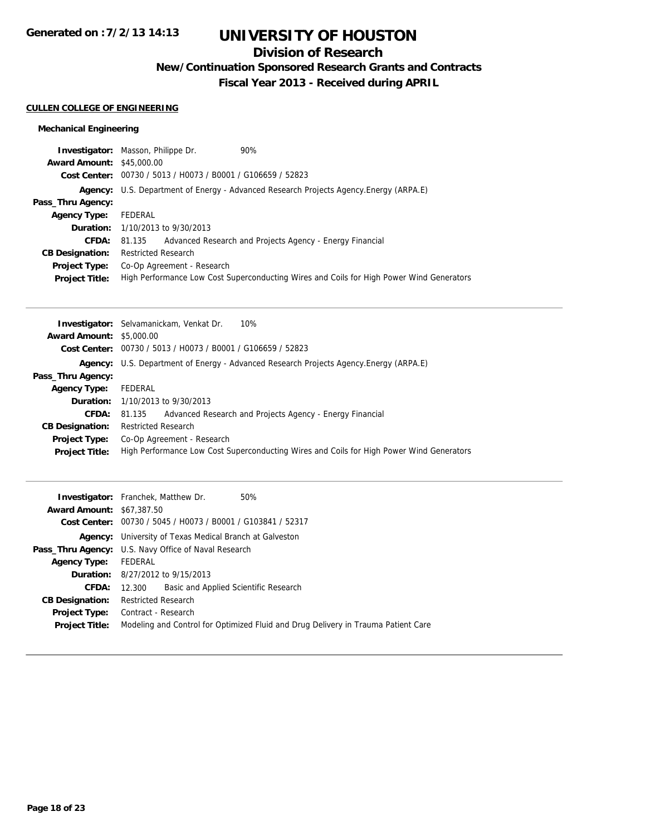# **UNIVERSITY OF HOUSTON**

## **Division of Research**

**New/Continuation Sponsored Research Grants and Contracts**

**Fiscal Year 2013 - Received during APRIL**

#### **CULLEN COLLEGE OF ENGINEERING**

### **Mechanical Engineering**

|                                  | <b>Investigator:</b> Masson, Philippe Dr.                   | 90%                                                                                      |
|----------------------------------|-------------------------------------------------------------|------------------------------------------------------------------------------------------|
| <b>Award Amount: \$45,000.00</b> |                                                             |                                                                                          |
|                                  | Cost Center: 00730 / 5013 / H0073 / B0001 / G106659 / 52823 |                                                                                          |
|                                  |                                                             | Agency: U.S. Department of Energy - Advanced Research Projects Agency. Energy (ARPA.E)   |
| Pass_Thru Agency:                |                                                             |                                                                                          |
| <b>Agency Type:</b>              | FEDERAL                                                     |                                                                                          |
|                                  | <b>Duration:</b> 1/10/2013 to 9/30/2013                     |                                                                                          |
| <b>CFDA:</b>                     |                                                             | 81.135 Advanced Research and Projects Agency - Energy Financial                          |
| <b>CB Designation:</b>           | <b>Restricted Research</b>                                  |                                                                                          |
|                                  | <b>Project Type:</b> Co-Op Agreement - Research             |                                                                                          |
| <b>Project Title:</b>            |                                                             | High Performance Low Cost Superconducting Wires and Coils for High Power Wind Generators |

|                                 | <b>Investigator:</b> Selvamanickam, Venkat Dr.<br>10%                                    |
|---------------------------------|------------------------------------------------------------------------------------------|
| <b>Award Amount: \$5,000.00</b> |                                                                                          |
|                                 | Cost Center: 00730 / 5013 / H0073 / B0001 / G106659 / 52823                              |
| Agency:                         | U.S. Department of Energy - Advanced Research Projects Agency. Energy (ARPA.E)           |
| Pass_Thru Agency:               |                                                                                          |
| <b>Agency Type:</b>             | FEDERAL                                                                                  |
|                                 | <b>Duration:</b> $1/10/2013$ to $9/30/2013$                                              |
| <b>CFDA:</b>                    | Advanced Research and Projects Agency - Energy Financial<br>81.135                       |
| <b>CB Designation:</b>          | <b>Restricted Research</b>                                                               |
| Project Type:                   | Co-Op Agreement - Research                                                               |
| <b>Project Title:</b>           | High Performance Low Cost Superconducting Wires and Coils for High Power Wind Generators |

|                                  | <b>Investigator:</b> Franchek, Matthew Dr.<br>50%                                 |  |  |
|----------------------------------|-----------------------------------------------------------------------------------|--|--|
| <b>Award Amount: \$67,387.50</b> |                                                                                   |  |  |
|                                  | Cost Center: 00730 / 5045 / H0073 / B0001 / G103841 / 52317                       |  |  |
|                                  | <b>Agency:</b> University of Texas Medical Branch at Galveston                    |  |  |
|                                  | <b>Pass_Thru Agency:</b> U.S. Navy Office of Naval Research                       |  |  |
| <b>Agency Type:</b>              | FEDERAL                                                                           |  |  |
|                                  | <b>Duration:</b> 8/27/2012 to 9/15/2013                                           |  |  |
| <b>CFDA:</b>                     | Basic and Applied Scientific Research<br>12.300                                   |  |  |
| <b>CB Designation:</b>           | <b>Restricted Research</b>                                                        |  |  |
| Project Type:                    | Contract - Research                                                               |  |  |
| <b>Project Title:</b>            | Modeling and Control for Optimized Fluid and Drug Delivery in Trauma Patient Care |  |  |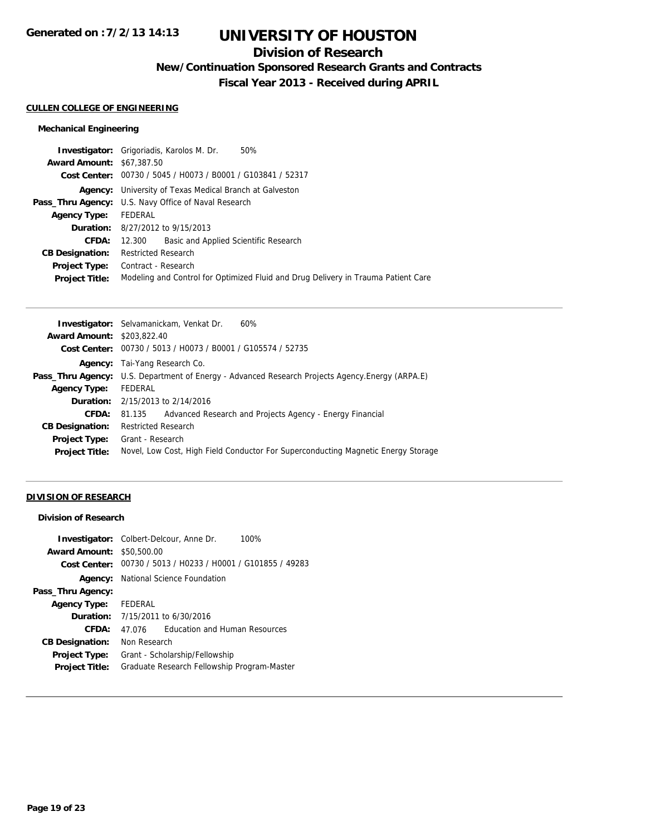## **Division of Research**

**New/Continuation Sponsored Research Grants and Contracts**

**Fiscal Year 2013 - Received during APRIL**

#### **CULLEN COLLEGE OF ENGINEERING**

### **Mechanical Engineering**

|                                  | 50%<br><b>Investigator:</b> Grigoriadis, Karolos M. Dr.                           |  |  |
|----------------------------------|-----------------------------------------------------------------------------------|--|--|
| <b>Award Amount: \$67,387.50</b> |                                                                                   |  |  |
|                                  | Cost Center: 00730 / 5045 / H0073 / B0001 / G103841 / 52317                       |  |  |
| Agency:                          | University of Texas Medical Branch at Galveston                                   |  |  |
|                                  | <b>Pass_Thru Agency:</b> U.S. Navy Office of Naval Research                       |  |  |
| <b>Agency Type:</b>              | FEDERAL                                                                           |  |  |
|                                  | <b>Duration:</b> 8/27/2012 to 9/15/2013                                           |  |  |
| CFDA:                            | Basic and Applied Scientific Research<br>12.300                                   |  |  |
| <b>CB Designation:</b>           | <b>Restricted Research</b>                                                        |  |  |
| Project Type:                    | Contract - Research                                                               |  |  |
| <b>Project Title:</b>            | Modeling and Control for Optimized Fluid and Drug Delivery in Trauma Patient Care |  |  |
|                                  |                                                                                   |  |  |

|                                   | <b>Investigator:</b> Selvamanickam, Venkat Dr.<br>60%                                                   |  |  |
|-----------------------------------|---------------------------------------------------------------------------------------------------------|--|--|
| <b>Award Amount: \$203,822.40</b> |                                                                                                         |  |  |
|                                   | Cost Center: 00730 / 5013 / H0073 / B0001 / G105574 / 52735                                             |  |  |
|                                   | <b>Agency:</b> Tai-Yang Research Co.                                                                    |  |  |
|                                   | <b>Pass_Thru Agency:</b> U.S. Department of Energy - Advanced Research Projects Agency. Energy (ARPA.E) |  |  |
| <b>Agency Type:</b>               | FEDERAL                                                                                                 |  |  |
|                                   | <b>Duration:</b> $2/15/2013$ to $2/14/2016$                                                             |  |  |
| CFDA:                             | Advanced Research and Projects Agency - Energy Financial<br>81.135                                      |  |  |
| <b>CB Designation:</b>            | <b>Restricted Research</b>                                                                              |  |  |
| <b>Project Type:</b>              | Grant - Research                                                                                        |  |  |
| <b>Project Title:</b>             | Novel, Low Cost, High Field Conductor For Superconducting Magnetic Energy Storage                       |  |  |
|                                   |                                                                                                         |  |  |

### **DIVISION OF RESEARCH**

### **Division of Research**

|                        | <b>Investigator:</b> Colbert-Delcour, Anne Dr.<br>100% |  |
|------------------------|--------------------------------------------------------|--|
| <b>Award Amount:</b>   | \$50,500.00                                            |  |
| Cost Center:           | 00730 / 5013 / H0233 / H0001 / G101855 / 49283         |  |
| Agency:                | National Science Foundation                            |  |
| Pass_Thru Agency:      |                                                        |  |
| <b>Agency Type:</b>    | FEDERAL                                                |  |
| Duration:              | 7/15/2011 to 6/30/2016                                 |  |
| CFDA:                  | <b>Education and Human Resources</b><br>47.076         |  |
| <b>CB Designation:</b> | Non Research                                           |  |
| <b>Project Type:</b>   | Grant - Scholarship/Fellowship                         |  |
| <b>Project Title:</b>  | Graduate Research Fellowship Program-Master            |  |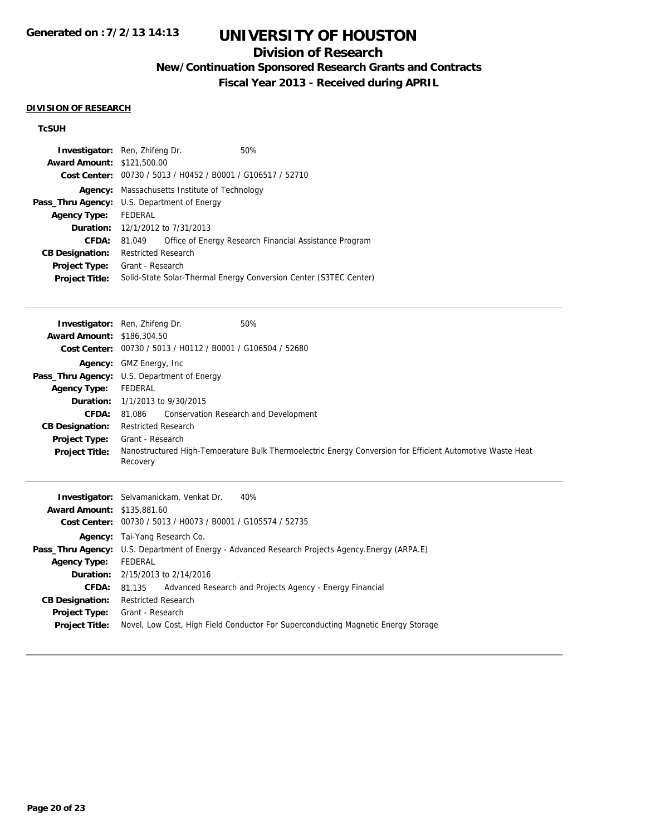## **Division of Research**

**New/Continuation Sponsored Research Grants and Contracts**

**Fiscal Year 2013 - Received during APRIL**

#### **DIVISION OF RESEARCH**

## **TcSUH**

| <b>Investigator:</b> Ren, Zhifeng Dr. |                                                                   |  | 50%                                                    |
|---------------------------------------|-------------------------------------------------------------------|--|--------------------------------------------------------|
| <b>Award Amount: \$121,500.00</b>     |                                                                   |  |                                                        |
|                                       | Cost Center: 00730 / 5013 / H0452 / B0001 / G106517 / 52710       |  |                                                        |
|                                       | <b>Agency:</b> Massachusetts Institute of Technology              |  |                                                        |
|                                       | <b>Pass_Thru Agency:</b> U.S. Department of Energy                |  |                                                        |
| <b>Agency Type:</b>                   | FEDERAL                                                           |  |                                                        |
|                                       | <b>Duration:</b> 12/1/2012 to 7/31/2013                           |  |                                                        |
| CFDA:                                 | 81.049                                                            |  | Office of Energy Research Financial Assistance Program |
| <b>CB Designation:</b>                | <b>Restricted Research</b>                                        |  |                                                        |
| <b>Project Type:</b>                  | Grant - Research                                                  |  |                                                        |
| <b>Project Title:</b>                 | Solid-State Solar-Thermal Energy Conversion Center (S3TEC Center) |  |                                                        |
|                                       |                                                                   |  |                                                        |

|                                                                                          | 50%<br><b>Investigator:</b> Ren, Zhifeng Dr.                                                                          |
|------------------------------------------------------------------------------------------|-----------------------------------------------------------------------------------------------------------------------|
| <b>Award Amount: \$186,304.50</b>                                                        |                                                                                                                       |
|                                                                                          | Cost Center: 00730 / 5013 / H0112 / B0001 / G106504 / 52680                                                           |
|                                                                                          | <b>Agency:</b> GMZ Energy, Inc.                                                                                       |
|                                                                                          | <b>Pass_Thru Agency:</b> U.S. Department of Energy                                                                    |
| <b>Agency Type:</b>                                                                      | FEDERAL                                                                                                               |
|                                                                                          | <b>Duration:</b> 1/1/2013 to 9/30/2015                                                                                |
| <b>CFDA:</b>                                                                             | 81.086 Conservation Research and Development                                                                          |
| <b>CB Designation:</b>                                                                   | <b>Restricted Research</b>                                                                                            |
| Project Type:                                                                            | Grant - Research                                                                                                      |
| <b>Project Title:</b>                                                                    | Nanostructured High-Temperature Bulk Thermoelectric Energy Conversion for Efficient Automotive Waste Heat<br>Recovery |
| $A_{111}$ and $A_{212}$ and $A_{11}$ and $A_{12}$ and $A_{13}$ and $A_{14}$ and $A_{15}$ | <b>Investigator:</b> Selvamanickam, Venkat Dr.<br>40%                                                                 |

| <b>Award Amount: \$135,881.60</b> |                                                                                                 |  |  |
|-----------------------------------|-------------------------------------------------------------------------------------------------|--|--|
|                                   | Cost Center: 00730 / 5013 / H0073 / B0001 / G105574 / 52735                                     |  |  |
|                                   | <b>Agency:</b> Tai-Yang Research Co.                                                            |  |  |
|                                   | Pass_Thru Agency: U.S. Department of Energy - Advanced Research Projects Agency.Energy (ARPA.E) |  |  |
| <b>Agency Type:</b>               | FEDERAL                                                                                         |  |  |
|                                   | <b>Duration:</b> 2/15/2013 to 2/14/2016                                                         |  |  |
| <b>CFDA:</b>                      | Advanced Research and Projects Agency - Energy Financial<br>81.135                              |  |  |
| <b>CB Designation:</b>            | <b>Restricted Research</b>                                                                      |  |  |
| <b>Project Type:</b>              | Grant - Research                                                                                |  |  |
| <b>Project Title:</b>             | Novel, Low Cost, High Field Conductor For Superconducting Magnetic Energy Storage               |  |  |
|                                   |                                                                                                 |  |  |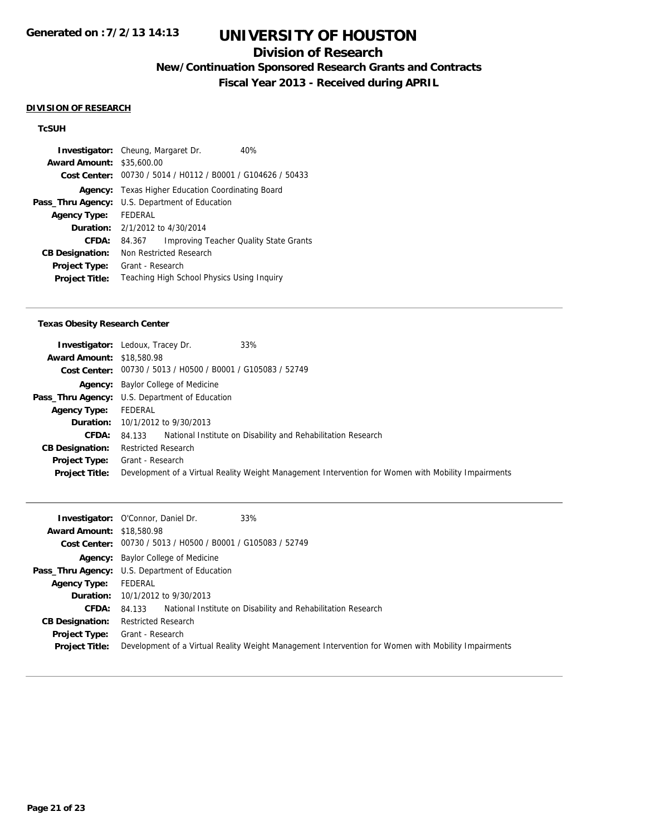## **Division of Research**

**New/Continuation Sponsored Research Grants and Contracts**

**Fiscal Year 2013 - Received during APRIL**

#### **DIVISION OF RESEARCH**

## **TcSUH**

|                        | 40%<br><b>Investigator:</b> Cheung, Margaret Dr.        |  |  |
|------------------------|---------------------------------------------------------|--|--|
| <b>Award Amount:</b>   | \$35,600.00                                             |  |  |
| Cost Center:           | 00730 / 5014 / H0112 / B0001 / G104626 / 50433          |  |  |
| Agency:                | Texas Higher Education Coordinating Board               |  |  |
| Pass_Thru Agency:      | U.S. Department of Education                            |  |  |
| <b>Agency Type:</b>    | FEDERAL                                                 |  |  |
|                        | <b>Duration:</b> $2/1/2012$ to $4/30/2014$              |  |  |
| CFDA:                  | <b>Improving Teacher Quality State Grants</b><br>84.367 |  |  |
| <b>CB Designation:</b> | Non Restricted Research                                 |  |  |
| <b>Project Type:</b>   | Grant - Research                                        |  |  |
| <b>Project Title:</b>  | Teaching High School Physics Using Inquiry              |  |  |

#### **Texas Obesity Research Center**

|                                  | 33%<br><b>Investigator:</b> Ledoux, Tracey Dr.                                                      |  |  |
|----------------------------------|-----------------------------------------------------------------------------------------------------|--|--|
| <b>Award Amount: \$18,580.98</b> |                                                                                                     |  |  |
|                                  | Cost Center: 00730 / 5013 / H0500 / B0001 / G105083 / 52749                                         |  |  |
|                                  | <b>Agency:</b> Baylor College of Medicine                                                           |  |  |
|                                  | Pass_Thru Agency: U.S. Department of Education                                                      |  |  |
| <b>Agency Type:</b>              | FEDERAL                                                                                             |  |  |
|                                  | <b>Duration:</b> $10/1/2012$ to $9/30/2013$                                                         |  |  |
| <b>CFDA:</b>                     | National Institute on Disability and Rehabilitation Research<br>84.133                              |  |  |
| <b>CB Designation:</b>           | <b>Restricted Research</b>                                                                          |  |  |
| Project Type:                    | Grant - Research                                                                                    |  |  |
| <b>Project Title:</b>            | Development of a Virtual Reality Weight Management Intervention for Women with Mobility Impairments |  |  |

|                                  | 33%<br><b>Investigator:</b> O'Connor, Daniel Dr.                                                    |
|----------------------------------|-----------------------------------------------------------------------------------------------------|
| <b>Award Amount: \$18,580.98</b> |                                                                                                     |
|                                  | Cost Center: 00730 / 5013 / H0500 / B0001 / G105083 / 52749                                         |
|                                  | <b>Agency:</b> Baylor College of Medicine                                                           |
|                                  | <b>Pass_Thru Agency:</b> U.S. Department of Education                                               |
| <b>Agency Type:</b>              | FEDERAL                                                                                             |
|                                  | <b>Duration:</b> 10/1/2012 to 9/30/2013                                                             |
| <b>CFDA:</b>                     | National Institute on Disability and Rehabilitation Research<br>84.133                              |
| <b>CB Designation:</b>           | <b>Restricted Research</b>                                                                          |
| <b>Project Type:</b>             | Grant - Research                                                                                    |
| <b>Project Title:</b>            | Development of a Virtual Reality Weight Management Intervention for Women with Mobility Impairments |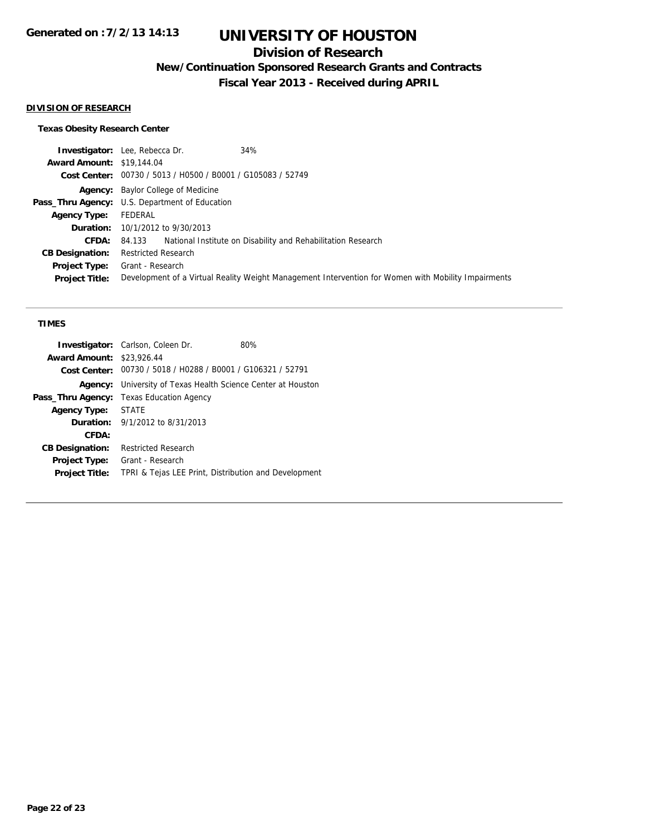## **Division of Research**

**New/Continuation Sponsored Research Grants and Contracts**

**Fiscal Year 2013 - Received during APRIL**

### **DIVISION OF RESEARCH**

### **Texas Obesity Research Center**

| 34%<br><b>Investigator:</b> Lee, Rebecca Dr.                                                        |  |  |
|-----------------------------------------------------------------------------------------------------|--|--|
| <b>Award Amount: \$19,144.04</b>                                                                    |  |  |
| Cost Center: 00730 / 5013 / H0500 / B0001 / G105083 / 52749                                         |  |  |
| <b>Agency:</b> Baylor College of Medicine                                                           |  |  |
| <b>Pass_Thru Agency:</b> U.S. Department of Education                                               |  |  |
| FEDERAL                                                                                             |  |  |
| <b>Duration:</b> 10/1/2012 to 9/30/2013                                                             |  |  |
| 84.133 National Institute on Disability and Rehabilitation Research                                 |  |  |
| <b>Restricted Research</b>                                                                          |  |  |
| Grant - Research                                                                                    |  |  |
| Development of a Virtual Reality Weight Management Intervention for Women with Mobility Impairments |  |  |
|                                                                                                     |  |  |

#### **TIMES**

|                        | Investigator: Carlson, Coleen Dr.                           | 80% |
|------------------------|-------------------------------------------------------------|-----|
| <b>Award Amount:</b>   | \$23,926.44                                                 |     |
|                        | Cost Center: 00730 / 5018 / H0288 / B0001 / G106321 / 52791 |     |
| Agency:                | University of Texas Health Science Center at Houston        |     |
| Pass_Thru Agency:      | Texas Education Agency                                      |     |
| <b>Agency Type:</b>    | <b>STATE</b>                                                |     |
|                        | <b>Duration:</b> $9/1/2012$ to $8/31/2013$                  |     |
| CFDA:                  |                                                             |     |
| <b>CB Designation:</b> | Restricted Research                                         |     |
| <b>Project Type:</b>   | Grant - Research                                            |     |
| <b>Project Title:</b>  | TPRI & Tejas LEE Print, Distribution and Development        |     |
|                        |                                                             |     |